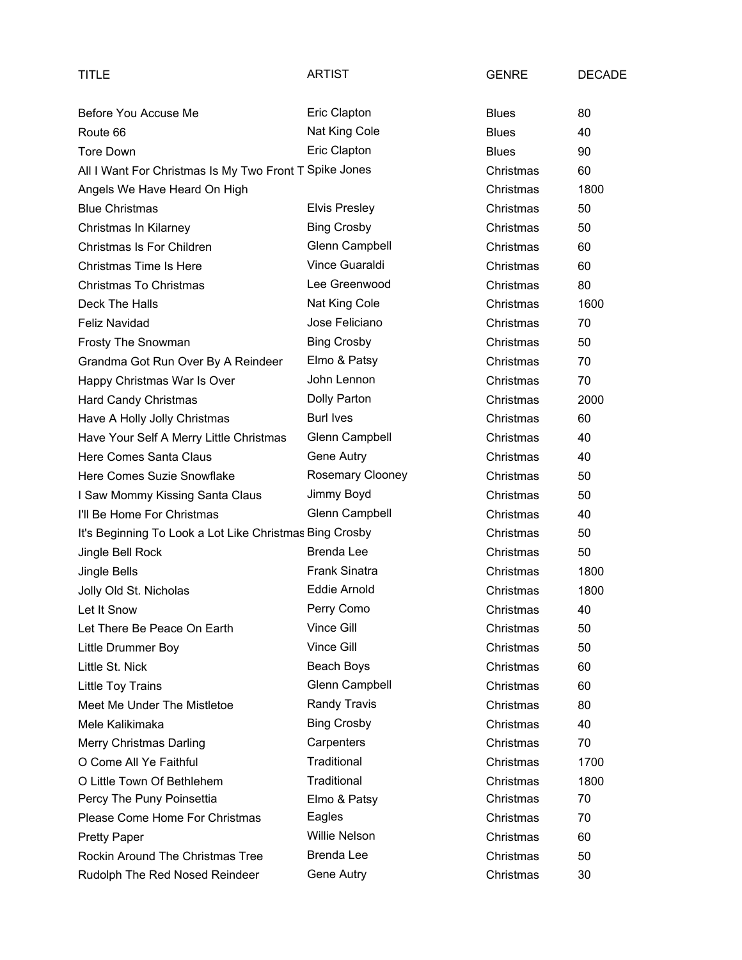| TITLE                                                   | <b>ARTIST</b>        | <b>GENRE</b> | <b>DECADE</b> |
|---------------------------------------------------------|----------------------|--------------|---------------|
| Before You Accuse Me                                    | Eric Clapton         | <b>Blues</b> | 80            |
| Route 66                                                | Nat King Cole        | <b>Blues</b> | 40            |
| <b>Tore Down</b>                                        | Eric Clapton         | <b>Blues</b> | 90            |
| All I Want For Christmas Is My Two Front T Spike Jones  |                      | Christmas    | 60            |
| Angels We Have Heard On High                            |                      | Christmas    | 1800          |
| <b>Blue Christmas</b>                                   | <b>Elvis Presley</b> | Christmas    | 50            |
| Christmas In Kilarney                                   | <b>Bing Crosby</b>   | Christmas    | 50            |
| Christmas Is For Children                               | Glenn Campbell       | Christmas    | 60            |
| <b>Christmas Time Is Here</b>                           | Vince Guaraldi       | Christmas    | 60            |
| <b>Christmas To Christmas</b>                           | Lee Greenwood        | Christmas    | 80            |
| Deck The Halls                                          | Nat King Cole        | Christmas    | 1600          |
| Feliz Navidad                                           | Jose Feliciano       | Christmas    | 70            |
| Frosty The Snowman                                      | <b>Bing Crosby</b>   | Christmas    | 50            |
| Grandma Got Run Over By A Reindeer                      | Elmo & Patsy         | Christmas    | 70            |
| Happy Christmas War Is Over                             | John Lennon          | Christmas    | 70            |
| <b>Hard Candy Christmas</b>                             | Dolly Parton         | Christmas    | 2000          |
| Have A Holly Jolly Christmas                            | <b>Burl Ives</b>     | Christmas    | 60            |
| Have Your Self A Merry Little Christmas                 | Glenn Campbell       | Christmas    | 40            |
| Here Comes Santa Claus                                  | Gene Autry           | Christmas    | 40            |
| Here Comes Suzie Snowflake                              | Rosemary Clooney     | Christmas    | 50            |
| I Saw Mommy Kissing Santa Claus                         | Jimmy Boyd           | Christmas    | 50            |
| I'll Be Home For Christmas                              | Glenn Campbell       | Christmas    | 40            |
| It's Beginning To Look a Lot Like Christmas Bing Crosby |                      | Christmas    | 50            |
| Jingle Bell Rock                                        | <b>Brenda Lee</b>    | Christmas    | 50            |
| Jingle Bells                                            | <b>Frank Sinatra</b> | Christmas    | 1800          |
| Jolly Old St. Nicholas                                  | <b>Eddie Arnold</b>  | Christmas    | 1800          |
| Let It Snow                                             | Perry Como           | Christmas    | 40            |
| Let There Be Peace On Earth                             | Vince Gill           | Christmas    | 50            |
| Little Drummer Boy                                      | Vince Gill           | Christmas    | 50            |
| Little St. Nick                                         | Beach Boys           | Christmas    | 60            |
| Little Toy Trains                                       | Glenn Campbell       | Christmas    | 60            |
| Meet Me Under The Mistletoe                             | Randy Travis         | Christmas    | 80            |
| Mele Kalikimaka                                         | <b>Bing Crosby</b>   | Christmas    | 40            |
| Merry Christmas Darling                                 | Carpenters           | Christmas    | 70            |
| O Come All Ye Faithful                                  | Traditional          | Christmas    | 1700          |
| O Little Town Of Bethlehem                              | Traditional          | Christmas    | 1800          |
| Percy The Puny Poinsettia                               | Elmo & Patsy         | Christmas    | 70            |
| Please Come Home For Christmas                          | Eagles               | Christmas    | 70            |
| <b>Pretty Paper</b>                                     | Willie Nelson        | Christmas    | 60            |
| Rockin Around The Christmas Tree                        | <b>Brenda Lee</b>    | Christmas    | 50            |
| Rudolph The Red Nosed Reindeer                          | Gene Autry           | Christmas    | 30            |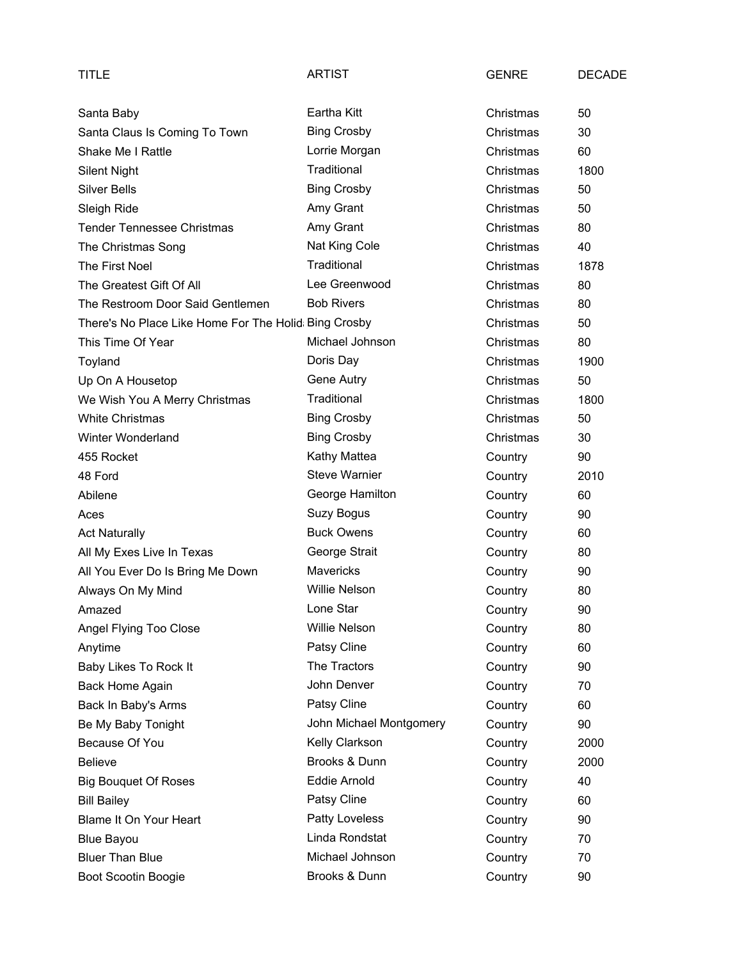| TITLE                                                | <b>ARTIST</b>           | <b>GENRE</b> | <b>DECADE</b> |
|------------------------------------------------------|-------------------------|--------------|---------------|
| Santa Baby                                           | Eartha Kitt             | Christmas    | 50            |
| Santa Claus Is Coming To Town                        | <b>Bing Crosby</b>      | Christmas    | 30            |
| <b>Shake Me I Rattle</b>                             | Lorrie Morgan           | Christmas    | 60            |
| <b>Silent Night</b>                                  | Traditional             | Christmas    | 1800          |
| <b>Silver Bells</b>                                  | <b>Bing Crosby</b>      | Christmas    | 50            |
| Sleigh Ride                                          | Amy Grant               | Christmas    | 50            |
| <b>Tender Tennessee Christmas</b>                    | Amy Grant               | Christmas    | 80            |
| The Christmas Song                                   | Nat King Cole           | Christmas    | 40            |
| The First Noel                                       | Traditional             | Christmas    | 1878          |
| The Greatest Gift Of All                             | Lee Greenwood           | Christmas    | 80            |
| The Restroom Door Said Gentlemen                     | <b>Bob Rivers</b>       | Christmas    | 80            |
| There's No Place Like Home For The Holid Bing Crosby |                         | Christmas    | 50            |
| This Time Of Year                                    | Michael Johnson         | Christmas    | 80            |
| Toyland                                              | Doris Day               | Christmas    | 1900          |
| Up On A Housetop                                     | Gene Autry              | Christmas    | 50            |
| We Wish You A Merry Christmas                        | Traditional             | Christmas    | 1800          |
| <b>White Christmas</b>                               | <b>Bing Crosby</b>      | Christmas    | 50            |
| Winter Wonderland                                    | <b>Bing Crosby</b>      | Christmas    | 30            |
| 455 Rocket                                           | Kathy Mattea            | Country      | 90            |
| 48 Ford                                              | <b>Steve Warnier</b>    | Country      | 2010          |
| Abilene                                              | George Hamilton         | Country      | 60            |
| Aces                                                 | Suzy Bogus              | Country      | 90            |
| <b>Act Naturally</b>                                 | <b>Buck Owens</b>       | Country      | 60            |
| All My Exes Live In Texas                            | George Strait           | Country      | 80            |
| All You Ever Do Is Bring Me Down                     | Mavericks               | Country      | 90            |
| Always On My Mind                                    | <b>Willie Nelson</b>    | Country      | 80            |
| Amazed                                               | Lone Star               | Country      | $90\,$        |
| Angel Flying Too Close                               | <b>Willie Nelson</b>    | Country      | 80            |
| Anytime                                              | Patsy Cline             | Country      | 60            |
| Baby Likes To Rock It                                | The Tractors            | Country      | 90            |
| <b>Back Home Again</b>                               | John Denver             | Country      | 70            |
| Back In Baby's Arms                                  | Patsy Cline             | Country      | 60            |
| Be My Baby Tonight                                   | John Michael Montgomery | Country      | 90            |
| Because Of You                                       | Kelly Clarkson          | Country      | 2000          |
| <b>Believe</b>                                       | Brooks & Dunn           | Country      | 2000          |
| <b>Big Bouquet Of Roses</b>                          | Eddie Arnold            | Country      | 40            |
| <b>Bill Bailey</b>                                   | Patsy Cline             | Country      | 60            |
| Blame It On Your Heart                               | Patty Loveless          | Country      | 90            |
| <b>Blue Bayou</b>                                    | Linda Rondstat          | Country      | 70            |
| <b>Bluer Than Blue</b>                               | Michael Johnson         | Country      | 70            |
| Boot Scootin Boogie                                  | Brooks & Dunn           | Country      | 90            |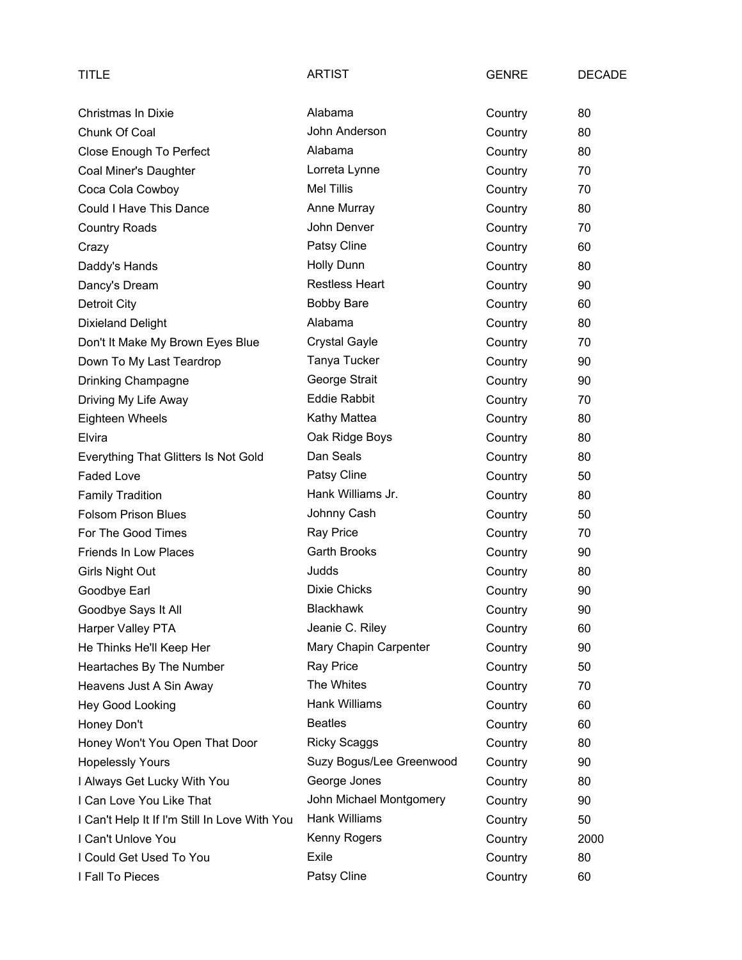| TITLE                                         | <b>ARTIST</b>            | <b>GENRE</b> | <b>DECADE</b> |
|-----------------------------------------------|--------------------------|--------------|---------------|
| <b>Christmas In Dixie</b>                     | Alabama                  | Country      | 80            |
| Chunk Of Coal                                 | John Anderson            | Country      | 80            |
| Close Enough To Perfect                       | Alabama                  | Country      | 80            |
| Coal Miner's Daughter                         | Lorreta Lynne            | Country      | 70            |
| Coca Cola Cowboy                              | <b>Mel Tillis</b>        | Country      | 70            |
| Could I Have This Dance                       | Anne Murray              | Country      | 80            |
| <b>Country Roads</b>                          | John Denver              | Country      | 70            |
| Crazy                                         | Patsy Cline              | Country      | 60            |
| Daddy's Hands                                 | <b>Holly Dunn</b>        | Country      | 80            |
| Dancy's Dream                                 | <b>Restless Heart</b>    | Country      | 90            |
| Detroit City                                  | <b>Bobby Bare</b>        | Country      | 60            |
| <b>Dixieland Delight</b>                      | Alabama                  | Country      | 80            |
| Don't It Make My Brown Eyes Blue              | <b>Crystal Gayle</b>     | Country      | 70            |
| Down To My Last Teardrop                      | Tanya Tucker             | Country      | 90            |
| Drinking Champagne                            | George Strait            | Country      | 90            |
| Driving My Life Away                          | <b>Eddie Rabbit</b>      | Country      | 70            |
| Eighteen Wheels                               | Kathy Mattea             | Country      | 80            |
| Elvira                                        | Oak Ridge Boys           | Country      | 80            |
| Everything That Glitters Is Not Gold          | Dan Seals                | Country      | 80            |
| <b>Faded Love</b>                             | Patsy Cline              | Country      | 50            |
| <b>Family Tradition</b>                       | Hank Williams Jr.        | Country      | 80            |
| <b>Folsom Prison Blues</b>                    | Johnny Cash              | Country      | 50            |
| For The Good Times                            | <b>Ray Price</b>         | Country      | 70            |
| Friends In Low Places                         | <b>Garth Brooks</b>      | Country      | 90            |
| Girls Night Out                               | Judds                    | Country      | 80            |
| Goodbye Earl                                  | <b>Dixie Chicks</b>      | Country      | 90            |
| Goodbye Says It All                           | <b>Blackhawk</b>         | Country      | 90            |
| Harper Valley PTA                             | Jeanie C. Riley          | Country      | 60            |
| He Thinks He'll Keep Her                      | Mary Chapin Carpenter    | Country      | 90            |
| Heartaches By The Number                      | Ray Price                | Country      | 50            |
| Heavens Just A Sin Away                       | The Whites               | Country      | 70            |
| Hey Good Looking                              | Hank Williams            | Country      | 60            |
| Honey Don't                                   | <b>Beatles</b>           | Country      | 60            |
| Honey Won't You Open That Door                | <b>Ricky Scaggs</b>      | Country      | 80            |
| <b>Hopelessly Yours</b>                       | Suzy Bogus/Lee Greenwood | Country      | 90            |
| I Always Get Lucky With You                   | George Jones             | Country      | 80            |
| I Can Love You Like That                      | John Michael Montgomery  | Country      | 90            |
| I Can't Help It If I'm Still In Love With You | Hank Williams            | Country      | 50            |
| I Can't Unlove You                            | Kenny Rogers             | Country      | 2000          |
| I Could Get Used To You                       | Exile                    | Country      | 80            |
| I Fall To Pieces                              | Patsy Cline              | Country      | 60            |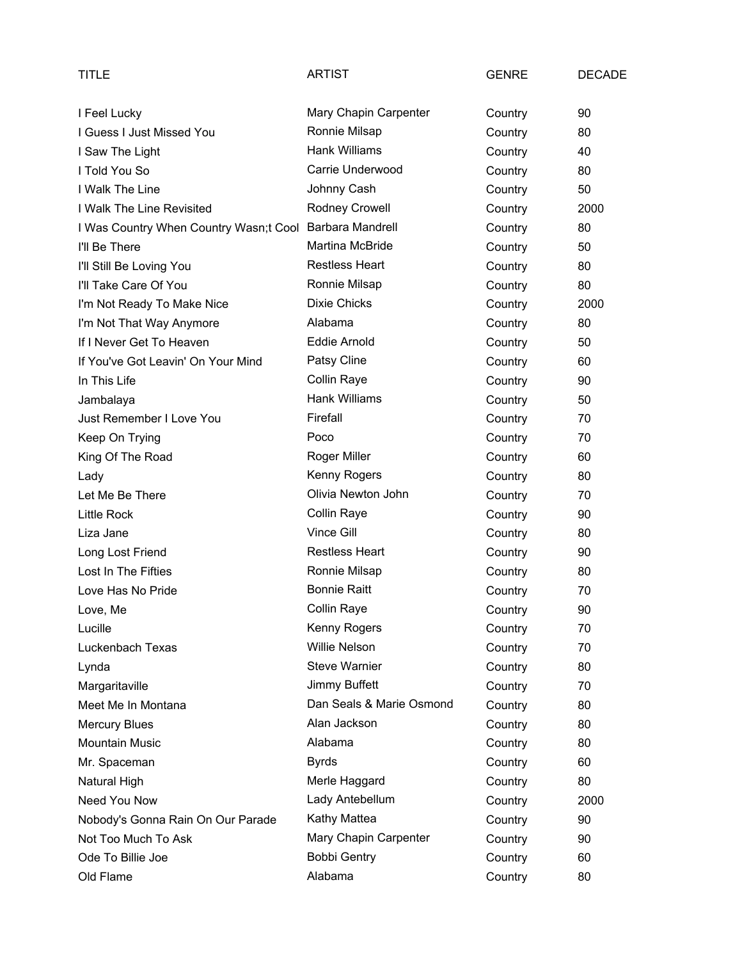| TITLE                                                   | <b>ARTIST</b>            | <b>GENRE</b> | <b>DECADE</b> |
|---------------------------------------------------------|--------------------------|--------------|---------------|
| I Feel Lucky                                            | Mary Chapin Carpenter    | Country      | 90            |
| I Guess I Just Missed You                               | Ronnie Milsap            | Country      | 80            |
| I Saw The Light                                         | <b>Hank Williams</b>     | Country      | 40            |
| I Told You So                                           | Carrie Underwood         | Country      | 80            |
| I Walk The Line                                         | Johnny Cash              | Country      | 50            |
| I Walk The Line Revisited                               | Rodney Crowell           | Country      | 2000          |
| I Was Country When Country Wasn;t Cool Barbara Mandrell |                          | Country      | 80            |
| I'll Be There                                           | <b>Martina McBride</b>   | Country      | 50            |
| I'll Still Be Loving You                                | <b>Restless Heart</b>    | Country      | 80            |
| I'll Take Care Of You                                   | Ronnie Milsap            | Country      | 80            |
| I'm Not Ready To Make Nice                              | <b>Dixie Chicks</b>      | Country      | 2000          |
| I'm Not That Way Anymore                                | Alabama                  | Country      | 80            |
| If I Never Get To Heaven                                | Eddie Arnold             | Country      | 50            |
| If You've Got Leavin' On Your Mind                      | Patsy Cline              | Country      | 60            |
| In This Life                                            | Collin Raye              | Country      | 90            |
| Jambalaya                                               | <b>Hank Williams</b>     | Country      | 50            |
| Just Remember I Love You                                | Firefall                 | Country      | 70            |
| Keep On Trying                                          | Poco                     | Country      | 70            |
| King Of The Road                                        | Roger Miller             | Country      | 60            |
| Lady                                                    | Kenny Rogers             | Country      | 80            |
| Let Me Be There                                         | Olivia Newton John       | Country      | 70            |
| <b>Little Rock</b>                                      | Collin Raye              | Country      | 90            |
| Liza Jane                                               | Vince Gill               | Country      | 80            |
| Long Lost Friend                                        | <b>Restless Heart</b>    | Country      | 90            |
| Lost In The Fifties                                     | Ronnie Milsap            | Country      | 80            |
| Love Has No Pride                                       | <b>Bonnie Raitt</b>      | Country      | 70            |
| Love, Me                                                | Collin Raye              | Country      | 90            |
| Lucille                                                 | Kenny Rogers             | Country      | 70            |
| Luckenbach Texas                                        | <b>Willie Nelson</b>     | Country      | 70            |
| Lynda                                                   | <b>Steve Warnier</b>     | Country      | 80            |
| Margaritaville                                          | <b>Jimmy Buffett</b>     | Country      | 70            |
| Meet Me In Montana                                      | Dan Seals & Marie Osmond | Country      | 80            |
| <b>Mercury Blues</b>                                    | Alan Jackson             | Country      | 80            |
| <b>Mountain Music</b>                                   | Alabama                  | Country      | 80            |
| Mr. Spaceman                                            | <b>Byrds</b>             | Country      | 60            |
| Natural High                                            | Merle Haggard            | Country      | 80            |
| Need You Now                                            | Lady Antebellum          | Country      | 2000          |
| Nobody's Gonna Rain On Our Parade                       | Kathy Mattea             | Country      | 90            |
| Not Too Much To Ask                                     | Mary Chapin Carpenter    | Country      | 90            |
| Ode To Billie Joe                                       | <b>Bobbi Gentry</b>      | Country      | 60            |
| Old Flame                                               | Alabama                  | Country      | 80            |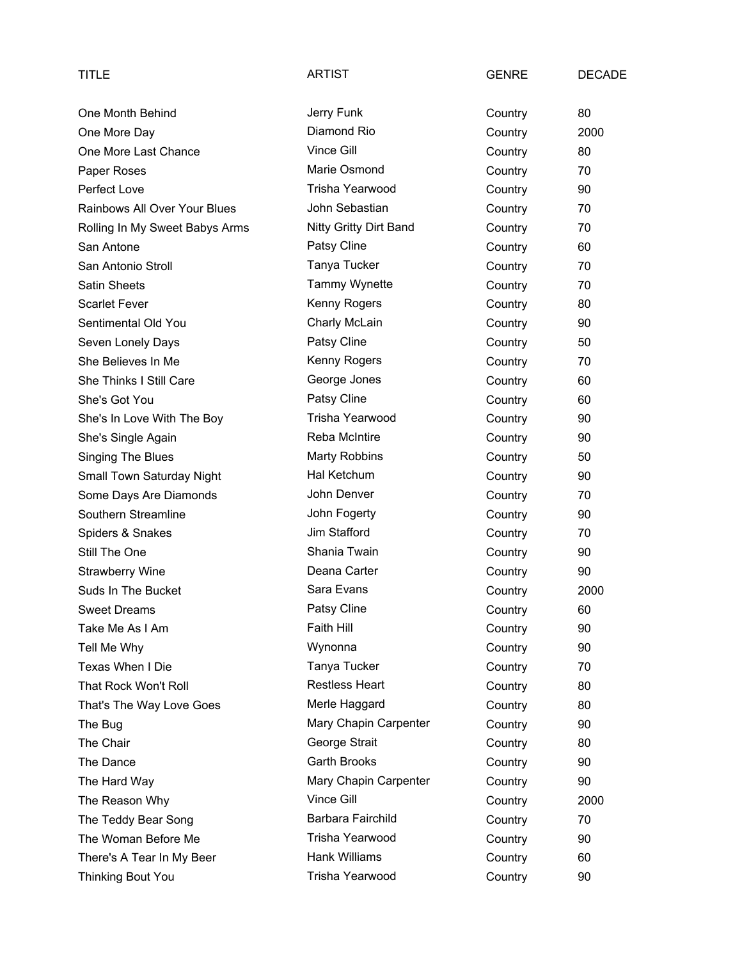| TITLE                          | <b>ARTIST</b>          | <b>GENRE</b> | <b>DECADE</b> |
|--------------------------------|------------------------|--------------|---------------|
| One Month Behind               | Jerry Funk             | Country      | 80            |
| One More Day                   | Diamond Rio            | Country      | 2000          |
| One More Last Chance           | Vince Gill             | Country      | 80            |
| Paper Roses                    | Marie Osmond           | Country      | 70            |
| Perfect Love                   | Trisha Yearwood        | Country      | 90            |
| Rainbows All Over Your Blues   | John Sebastian         | Country      | 70            |
| Rolling In My Sweet Babys Arms | Nitty Gritty Dirt Band | Country      | 70            |
| San Antone                     | Patsy Cline            | Country      | 60            |
| San Antonio Stroll             | Tanya Tucker           | Country      | 70            |
| <b>Satin Sheets</b>            | Tammy Wynette          | Country      | 70            |
| <b>Scarlet Fever</b>           | Kenny Rogers           | Country      | 80            |
| Sentimental Old You            | Charly McLain          | Country      | 90            |
| Seven Lonely Days              | Patsy Cline            | Country      | 50            |
| She Believes In Me             | Kenny Rogers           | Country      | 70            |
| She Thinks I Still Care        | George Jones           | Country      | 60            |
| She's Got You                  | Patsy Cline            | Country      | 60            |
| She's In Love With The Boy     | Trisha Yearwood        | Country      | 90            |
| She's Single Again             | Reba McIntire          | Country      | 90            |
| <b>Singing The Blues</b>       | Marty Robbins          | Country      | 50            |
| Small Town Saturday Night      | Hal Ketchum            | Country      | 90            |
| Some Days Are Diamonds         | John Denver            | Country      | 70            |
| Southern Streamline            | John Fogerty           | Country      | 90            |
| Spiders & Snakes               | Jim Stafford           | Country      | 70            |
| Still The One                  | Shania Twain           | Country      | 90            |
| Strawberry Wine                | Deana Carter           | Country      | 90            |
| Suds In The Bucket             | Sara Evans             | Country      | 2000          |
| <b>Sweet Dreams</b>            | Patsy Cline            | Country      | 60            |
| Take Me As I Am                | Faith Hill             | Country      | 90            |
| Tell Me Why                    | Wynonna                | Country      | 90            |
| Texas When I Die               | Tanya Tucker           | Country      | 70            |
| That Rock Won't Roll           | <b>Restless Heart</b>  | Country      | 80            |
| That's The Way Love Goes       | Merle Haggard          | Country      | 80            |
| The Bug                        | Mary Chapin Carpenter  | Country      | 90            |
| The Chair                      | George Strait          | Country      | 80            |
| The Dance                      | Garth Brooks           | Country      | 90            |
| The Hard Way                   | Mary Chapin Carpenter  | Country      | 90            |
| The Reason Why                 | Vince Gill             | Country      | 2000          |
| The Teddy Bear Song            | Barbara Fairchild      | Country      | 70            |
| The Woman Before Me            | Trisha Yearwood        | Country      | 90            |
| There's A Tear In My Beer      | Hank Williams          | Country      | 60            |
| <b>Thinking Bout You</b>       | Trisha Yearwood        | Country      | 90            |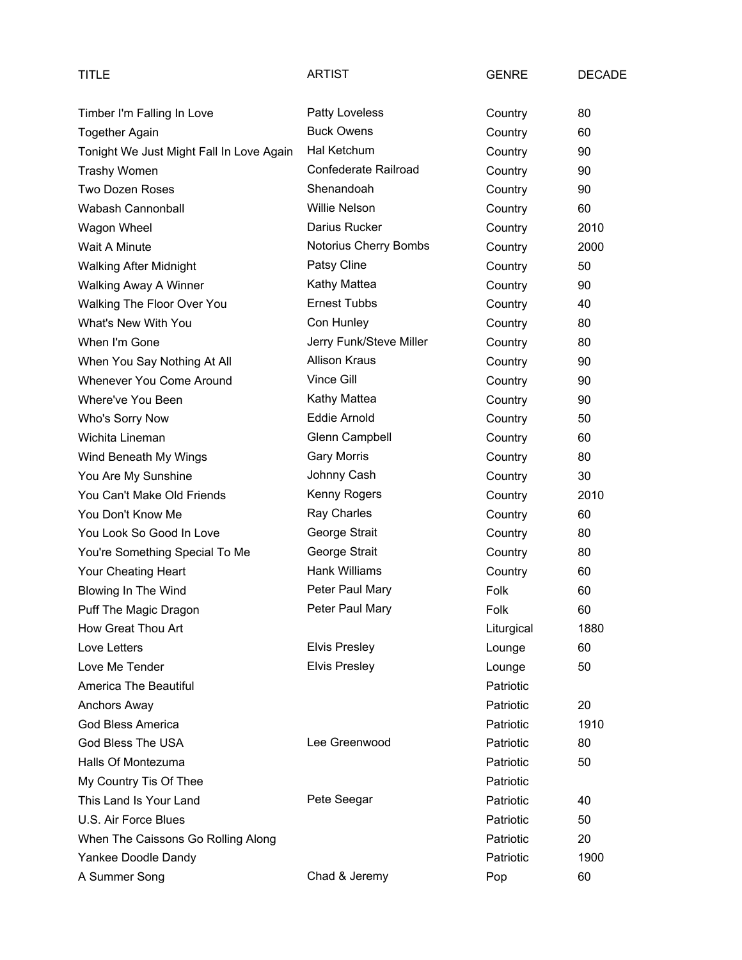| <b>TITLE</b>                             | <b>ARTIST</b>           | <b>GENRE</b> | <b>DECADE</b> |
|------------------------------------------|-------------------------|--------------|---------------|
| Timber I'm Falling In Love               | Patty Loveless          | Country      | 80            |
| <b>Together Again</b>                    | <b>Buck Owens</b>       | Country      | 60            |
| Tonight We Just Might Fall In Love Again | Hal Ketchum             | Country      | 90            |
| Trashy Women                             | Confederate Railroad    | Country      | 90            |
| <b>Two Dozen Roses</b>                   | Shenandoah              | Country      | 90            |
| Wabash Cannonball                        | <b>Willie Nelson</b>    | Country      | 60            |
| Wagon Wheel                              | Darius Rucker           | Country      | 2010          |
| Wait A Minute                            | Notorius Cherry Bombs   | Country      | 2000          |
| <b>Walking After Midnight</b>            | Patsy Cline             | Country      | 50            |
| Walking Away A Winner                    | Kathy Mattea            | Country      | 90            |
| Walking The Floor Over You               | <b>Ernest Tubbs</b>     | Country      | 40            |
| What's New With You                      | Con Hunley              | Country      | 80            |
| When I'm Gone                            | Jerry Funk/Steve Miller | Country      | 80            |
| When You Say Nothing At All              | <b>Allison Kraus</b>    | Country      | 90            |
| Whenever You Come Around                 | Vince Gill              | Country      | 90            |
| Where've You Been                        | Kathy Mattea            | Country      | 90            |
| Who's Sorry Now                          | Eddie Arnold            | Country      | 50            |
| Wichita Lineman                          | Glenn Campbell          | Country      | 60            |
| Wind Beneath My Wings                    | <b>Gary Morris</b>      | Country      | 80            |
| You Are My Sunshine                      | Johnny Cash             | Country      | 30            |
| You Can't Make Old Friends               | Kenny Rogers            | Country      | 2010          |
| You Don't Know Me                        | Ray Charles             | Country      | 60            |
| You Look So Good In Love                 | George Strait           | Country      | 80            |
| You're Something Special To Me           | George Strait           | Country      | 80            |
| Your Cheating Heart                      | <b>Hank Williams</b>    | Country      | 60            |
| Blowing In The Wind                      | Peter Paul Mary         | Folk         | 60            |
| Puff The Magic Dragon                    | Peter Paul Mary         | Folk         | 60            |
| How Great Thou Art                       |                         | Liturgical   | 1880          |
| Love Letters                             | <b>Elvis Presley</b>    | Lounge       | 60            |
| Love Me Tender                           | <b>Elvis Presley</b>    | Lounge       | 50            |
| America The Beautiful                    |                         | Patriotic    |               |
| Anchors Away                             |                         | Patriotic    | 20            |
| God Bless America                        |                         | Patriotic    | 1910          |
| God Bless The USA                        | Lee Greenwood           | Patriotic    | 80            |
| Halls Of Montezuma                       |                         | Patriotic    | 50            |
| My Country Tis Of Thee                   |                         | Patriotic    |               |
| This Land Is Your Land                   | Pete Seegar             | Patriotic    | 40            |
| U.S. Air Force Blues                     |                         | Patriotic    | 50            |
| When The Caissons Go Rolling Along       |                         | Patriotic    | 20            |
| Yankee Doodle Dandy                      |                         | Patriotic    | 1900          |
| A Summer Song                            | Chad & Jeremy           | Pop          | 60            |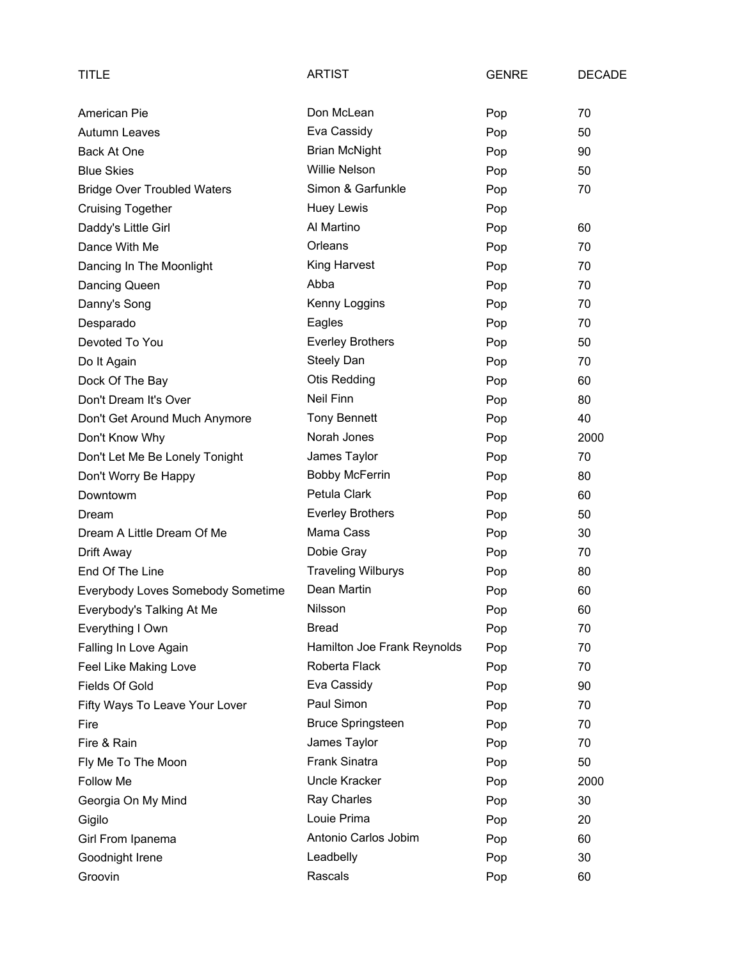| TITLE                              | <b>ARTIST</b>               | <b>GENRE</b> | <b>DECADE</b> |
|------------------------------------|-----------------------------|--------------|---------------|
| American Pie                       | Don McLean                  | Pop          | 70            |
| <b>Autumn Leaves</b>               | Eva Cassidy                 | Pop          | 50            |
| Back At One                        | <b>Brian McNight</b>        | Pop          | 90            |
| <b>Blue Skies</b>                  | <b>Willie Nelson</b>        | Pop          | 50            |
| <b>Bridge Over Troubled Waters</b> | Simon & Garfunkle           | Pop          | 70            |
| <b>Cruising Together</b>           | Huey Lewis                  | Pop          |               |
| Daddy's Little Girl                | Al Martino                  | Pop          | 60            |
| Dance With Me                      | Orleans                     | Pop          | 70            |
| Dancing In The Moonlight           | King Harvest                | Pop          | 70            |
| Dancing Queen                      | Abba                        | Pop          | 70            |
| Danny's Song                       | Kenny Loggins               | Pop          | 70            |
| Desparado                          | Eagles                      | Pop          | 70            |
| Devoted To You                     | <b>Everley Brothers</b>     | Pop          | 50            |
| Do It Again                        | Steely Dan                  | Pop          | 70            |
| Dock Of The Bay                    | <b>Otis Redding</b>         | Pop          | 60            |
| Don't Dream It's Over              | Neil Finn                   | Pop          | 80            |
| Don't Get Around Much Anymore      | <b>Tony Bennett</b>         | Pop          | 40            |
| Don't Know Why                     | Norah Jones                 | Pop          | 2000          |
| Don't Let Me Be Lonely Tonight     | James Taylor                | Pop          | 70            |
| Don't Worry Be Happy               | <b>Bobby McFerrin</b>       | Pop          | 80            |
| Downtowm                           | Petula Clark                | Pop          | 60            |
| Dream                              | <b>Everley Brothers</b>     | Pop          | 50            |
| Dream A Little Dream Of Me         | Mama Cass                   | Pop          | 30            |
| Drift Away                         | Dobie Gray                  | Pop          | 70            |
| End Of The Line                    | <b>Traveling Wilburys</b>   | Pop          | 80            |
| Everybody Loves Somebody Sometime  | Dean Martin                 | Pop          | 60            |
| Everybody's Talking At Me          | Nilsson                     | Pop          | 60            |
| Everything I Own                   | <b>Bread</b>                | Pop          | 70            |
| Falling In Love Again              | Hamilton Joe Frank Reynolds | Pop          | 70            |
| Feel Like Making Love              | Roberta Flack               | Pop          | 70            |
| <b>Fields Of Gold</b>              | Eva Cassidy                 | Pop          | 90            |
| Fifty Ways To Leave Your Lover     | Paul Simon                  | Pop          | 70            |
| Fire                               | <b>Bruce Springsteen</b>    | Pop          | 70            |
| Fire & Rain                        | James Taylor                | Pop          | 70            |
| Fly Me To The Moon                 | Frank Sinatra               | Pop          | 50            |
| Follow Me                          | Uncle Kracker               | Pop          | 2000          |
| Georgia On My Mind                 | Ray Charles                 | Pop          | 30            |
| Gigilo                             | Louie Prima                 | Pop          | 20            |
| Girl From Ipanema                  | Antonio Carlos Jobim        | Pop          | 60            |
| Goodnight Irene                    | Leadbelly                   | Pop          | 30            |
| Groovin                            | Rascals                     | Pop          | 60            |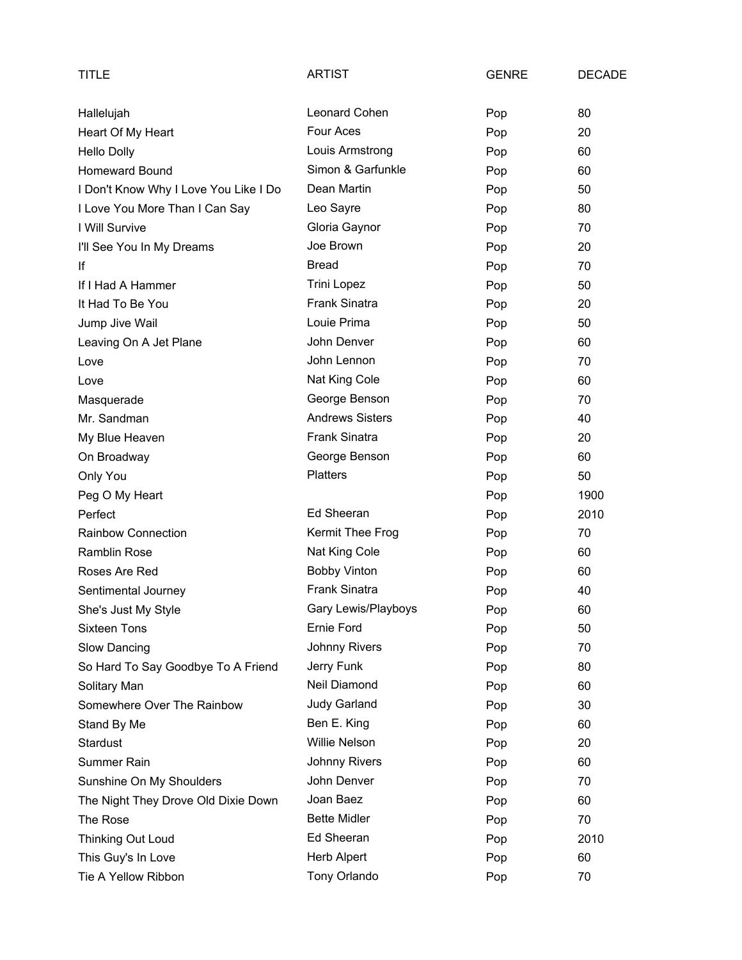| TITLE                                 | <b>ARTIST</b>          | <b>GENRE</b> | <b>DECADE</b> |
|---------------------------------------|------------------------|--------------|---------------|
| Hallelujah                            | Leonard Cohen          | Pop          | 80            |
| Heart Of My Heart                     | Four Aces              | Pop          | 20            |
| <b>Hello Dolly</b>                    | Louis Armstrong        | Pop          | 60            |
| <b>Homeward Bound</b>                 | Simon & Garfunkle      | Pop          | 60            |
| I Don't Know Why I Love You Like I Do | Dean Martin            | Pop          | 50            |
| I Love You More Than I Can Say        | Leo Sayre              | Pop          | 80            |
| I Will Survive                        | Gloria Gaynor          | Pop          | 70            |
| I'll See You In My Dreams             | Joe Brown              | Pop          | 20            |
| lf                                    | <b>Bread</b>           | Pop          | 70            |
| If I Had A Hammer                     | <b>Trini Lopez</b>     | Pop          | 50            |
| It Had To Be You                      | <b>Frank Sinatra</b>   | Pop          | 20            |
| Jump Jive Wail                        | Louie Prima            | Pop          | 50            |
| Leaving On A Jet Plane                | John Denver            | Pop          | 60            |
| Love                                  | John Lennon            | Pop          | 70            |
| Love                                  | Nat King Cole          | Pop          | 60            |
| Masquerade                            | George Benson          | Pop          | 70            |
| Mr. Sandman                           | <b>Andrews Sisters</b> | Pop          | 40            |
| My Blue Heaven                        | <b>Frank Sinatra</b>   | Pop          | 20            |
| On Broadway                           | George Benson          | Pop          | 60            |
| Only You                              | <b>Platters</b>        | Pop          | 50            |
| Peg O My Heart                        |                        | Pop          | 1900          |
| Perfect                               | Ed Sheeran             | Pop          | 2010          |
| Rainbow Connection                    | Kermit Thee Frog       | Pop          | 70            |
| <b>Ramblin Rose</b>                   | Nat King Cole          | Pop          | 60            |
| Roses Are Red                         | <b>Bobby Vinton</b>    | Pop          | 60            |
| Sentimental Journey                   | <b>Frank Sinatra</b>   | Pop          | 40            |
| She's Just My Style                   | Gary Lewis/Playboys    | Pop          | 60            |
| <b>Sixteen Tons</b>                   | Ernie Ford             | Pop          | 50            |
| Slow Dancing                          | <b>Johnny Rivers</b>   | Pop          | 70            |
| So Hard To Say Goodbye To A Friend    | Jerry Funk             | Pop          | 80            |
| Solitary Man                          | Neil Diamond           | Pop          | 60            |
| Somewhere Over The Rainbow            | <b>Judy Garland</b>    | Pop          | 30            |
| Stand By Me                           | Ben E. King            | Pop          | 60            |
| Stardust                              | <b>Willie Nelson</b>   | Pop          | 20            |
| Summer Rain                           | Johnny Rivers          | Pop          | 60            |
| Sunshine On My Shoulders              | John Denver            | Pop          | 70            |
| The Night They Drove Old Dixie Down   | Joan Baez              | Pop          | 60            |
| The Rose                              | <b>Bette Midler</b>    | Pop          | 70            |
| Thinking Out Loud                     | Ed Sheeran             | Pop          | 2010          |
| This Guy's In Love                    | <b>Herb Alpert</b>     | Pop          | 60            |
| Tie A Yellow Ribbon                   | Tony Orlando           | Pop          | 70            |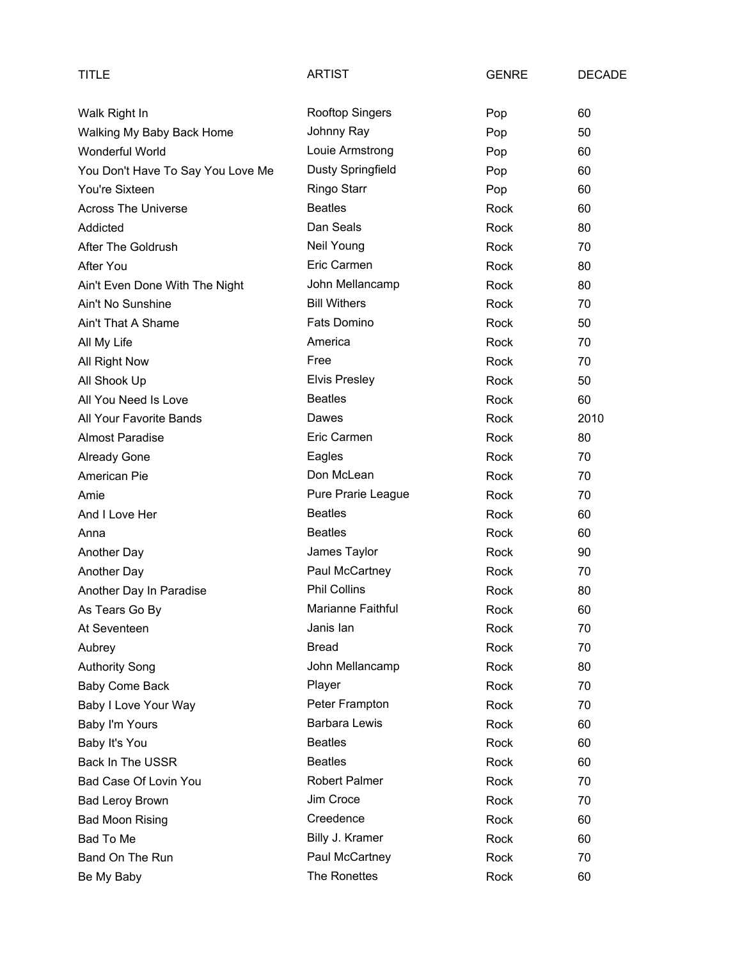| TITLE                             | <b>ARTIST</b>          | <b>GENRE</b> | <b>DECADE</b> |
|-----------------------------------|------------------------|--------------|---------------|
| Walk Right In                     | <b>Rooftop Singers</b> | Pop          | 60            |
| Walking My Baby Back Home         | Johnny Ray             | Pop          | 50            |
| Wonderful World                   | Louie Armstrong        | Pop          | 60            |
| You Don't Have To Say You Love Me | Dusty Springfield      | Pop          | 60            |
| You're Sixteen                    | Ringo Starr            | Pop          | 60            |
| <b>Across The Universe</b>        | <b>Beatles</b>         | Rock         | 60            |
| Addicted                          | Dan Seals              | Rock         | 80            |
| After The Goldrush                | Neil Young             | Rock         | 70            |
| After You                         | Eric Carmen            | Rock         | 80            |
| Ain't Even Done With The Night    | John Mellancamp        | Rock         | 80            |
| Ain't No Sunshine                 | <b>Bill Withers</b>    | Rock         | 70            |
| Ain't That A Shame                | Fats Domino            | Rock         | 50            |
| All My Life                       | America                | Rock         | 70            |
| All Right Now                     | Free                   | Rock         | 70            |
| All Shook Up                      | <b>Elvis Presley</b>   | Rock         | 50            |
| All You Need Is Love              | <b>Beatles</b>         | Rock         | 60            |
| All Your Favorite Bands           | Dawes                  | Rock         | 2010          |
| <b>Almost Paradise</b>            | Eric Carmen            | Rock         | 80            |
| <b>Already Gone</b>               | Eagles                 | Rock         | 70            |
| American Pie                      | Don McLean             | Rock         | 70            |
| Amie                              | Pure Prarie League     | Rock         | 70            |
| And I Love Her                    | <b>Beatles</b>         | Rock         | 60            |
| Anna                              | <b>Beatles</b>         | Rock         | 60            |
| Another Day                       | James Taylor           | Rock         | 90            |
| Another Day                       | Paul McCartney         | Rock         | 70            |
| Another Day In Paradise           | <b>Phil Collins</b>    | Rock         | 80            |
| As Tears Go By                    | Marianne Faithful      | Rock         | 60            |
| At Seventeen                      | Janis lan              | Rock         | 70            |
| Aubrey                            | <b>Bread</b>           | Rock         | 70            |
| <b>Authority Song</b>             | John Mellancamp        | Rock         | 80            |
| Baby Come Back                    | Player                 | Rock         | 70            |
| Baby I Love Your Way              | Peter Frampton         | Rock         | 70            |
| Baby I'm Yours                    | <b>Barbara Lewis</b>   | Rock         | 60            |
| Baby It's You                     | <b>Beatles</b>         | Rock         | 60            |
| <b>Back In The USSR</b>           | <b>Beatles</b>         | Rock         | 60            |
| Bad Case Of Lovin You             | <b>Robert Palmer</b>   | Rock         | 70            |
| <b>Bad Leroy Brown</b>            | Jim Croce              | Rock         | 70            |
| <b>Bad Moon Rising</b>            | Creedence              | Rock         | 60            |
| Bad To Me                         | Billy J. Kramer        | Rock         | 60            |
| Band On The Run                   | Paul McCartney         | Rock         | 70            |
| Be My Baby                        | The Ronettes           | Rock         | 60            |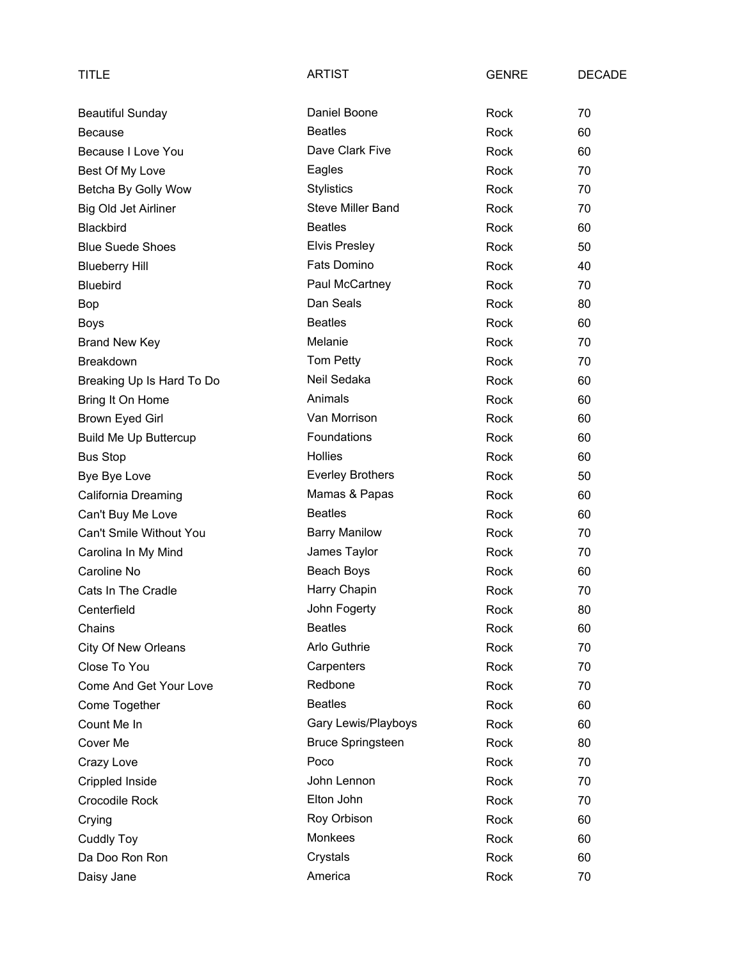| TITLE                        | <b>ARTIST</b>            | <b>GENRE</b> | <b>DECADE</b> |
|------------------------------|--------------------------|--------------|---------------|
| <b>Beautiful Sunday</b>      | Daniel Boone             | Rock         | 70            |
| <b>Because</b>               | <b>Beatles</b>           | Rock         | 60            |
| Because I Love You           | Dave Clark Five          | <b>Rock</b>  | 60            |
| Best Of My Love              | Eagles                   | Rock         | 70            |
| Betcha By Golly Wow          | <b>Stylistics</b>        | Rock         | 70            |
| Big Old Jet Airliner         | <b>Steve Miller Band</b> | Rock         | 70            |
| <b>Blackbird</b>             | <b>Beatles</b>           | Rock         | 60            |
| <b>Blue Suede Shoes</b>      | <b>Elvis Presley</b>     | Rock         | 50            |
| <b>Blueberry Hill</b>        | Fats Domino              | Rock         | 40            |
| <b>Bluebird</b>              | Paul McCartney           | Rock         | 70            |
| Bop                          | Dan Seals                | <b>Rock</b>  | 80            |
| <b>Boys</b>                  | <b>Beatles</b>           | Rock         | 60            |
| <b>Brand New Key</b>         | Melanie                  | Rock         | 70            |
| <b>Breakdown</b>             | Tom Petty                | Rock         | 70            |
| Breaking Up Is Hard To Do    | Neil Sedaka              | Rock         | 60            |
| Bring It On Home             | Animals                  | Rock         | 60            |
| Brown Eyed Girl              | Van Morrison             | Rock         | 60            |
| <b>Build Me Up Buttercup</b> | Foundations              | Rock         | 60            |
| <b>Bus Stop</b>              | <b>Hollies</b>           | Rock         | 60            |
| Bye Bye Love                 | <b>Everley Brothers</b>  | Rock         | 50            |
| California Dreaming          | Mamas & Papas            | Rock         | 60            |
| Can't Buy Me Love            | <b>Beatles</b>           | Rock         | 60            |
| Can't Smile Without You      | <b>Barry Manilow</b>     | Rock         | 70            |
| Carolina In My Mind          | James Taylor             | Rock         | 70            |
| Caroline No                  | Beach Boys               | Rock         | 60            |
| Cats In The Cradle           | Harry Chapin             | Rock         | 70            |
| Centerfield                  | John Fogerty             | Rock         | 80            |
| Chains                       | <b>Beatles</b>           | Rock         | 60            |
| <b>City Of New Orleans</b>   | Arlo Guthrie             | Rock         | 70            |
| Close To You                 | Carpenters               | Rock         | 70            |
| Come And Get Your Love       | Redbone                  | Rock         | 70            |
| Come Together                | <b>Beatles</b>           | Rock         | 60            |
| Count Me In                  | Gary Lewis/Playboys      | Rock         | 60            |
| Cover Me                     | <b>Bruce Springsteen</b> | Rock         | 80            |
| Crazy Love                   | Poco                     | Rock         | 70            |
| Crippled Inside              | John Lennon              | Rock         | 70            |
| Crocodile Rock               | Elton John               | Rock         | 70            |
| Crying                       | Roy Orbison              | Rock         | 60            |
| <b>Cuddly Toy</b>            | Monkees                  | Rock         | 60            |
| Da Doo Ron Ron               | Crystals                 | Rock         | 60            |
| Daisy Jane                   | America                  | Rock         | 70            |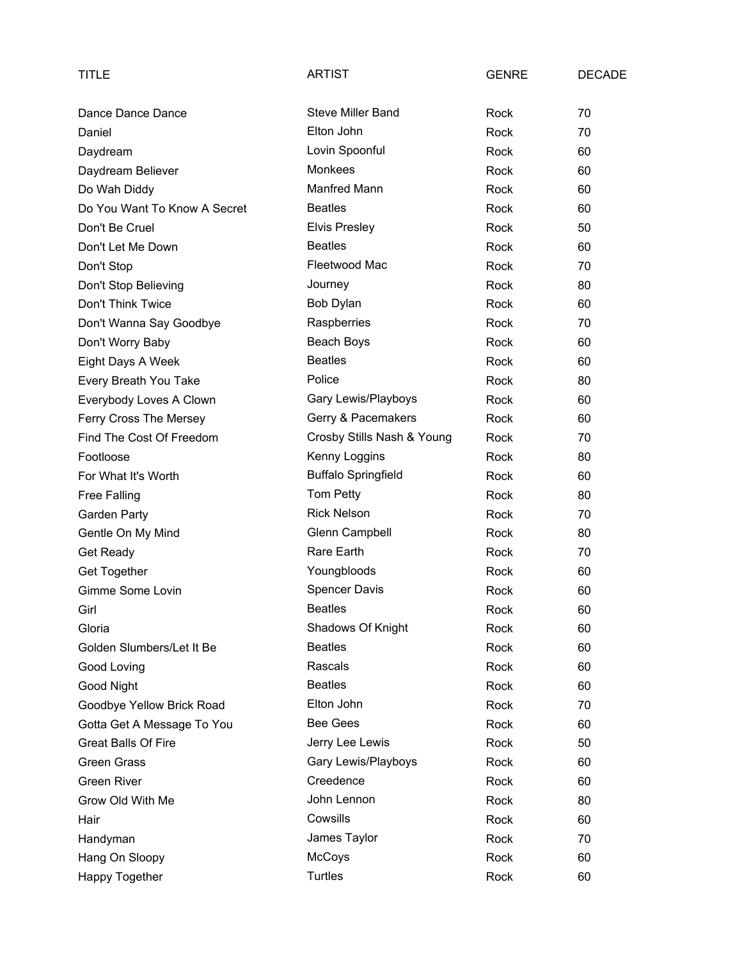| <b>TITLE</b>                 | <b>ARTIST</b>              | <b>GENRE</b> | <b>DECADE</b> |
|------------------------------|----------------------------|--------------|---------------|
| Dance Dance Dance            | <b>Steve Miller Band</b>   | Rock         | 70            |
| Daniel                       | Elton John                 | Rock         | 70            |
| Daydream                     | Lovin Spoonful             | Rock         | 60            |
| Daydream Believer            | Monkees                    | Rock         | 60            |
| Do Wah Diddy                 | Manfred Mann               | Rock         | 60            |
| Do You Want To Know A Secret | <b>Beatles</b>             | Rock         | 60            |
| Don't Be Cruel               | <b>Elvis Presley</b>       | Rock         | 50            |
| Don't Let Me Down            | <b>Beatles</b>             | Rock         | 60            |
| Don't Stop                   | Fleetwood Mac              | Rock         | 70            |
| Don't Stop Believing         | Journey                    | Rock         | 80            |
| Don't Think Twice            | Bob Dylan                  | Rock         | 60            |
| Don't Wanna Say Goodbye      | Raspberries                | Rock         | 70            |
| Don't Worry Baby             | Beach Boys                 | Rock         | 60            |
| Eight Days A Week            | <b>Beatles</b>             | <b>Rock</b>  | 60            |
| Every Breath You Take        | Police                     | <b>Rock</b>  | 80            |
| Everybody Loves A Clown      | Gary Lewis/Playboys        | Rock         | 60            |
| Ferry Cross The Mersey       | Gerry & Pacemakers         | Rock         | 60            |
| Find The Cost Of Freedom     | Crosby Stills Nash & Young | Rock         | 70            |
| Footloose                    | Kenny Loggins              | Rock         | 80            |
| For What It's Worth          | <b>Buffalo Springfield</b> | Rock         | 60            |
| <b>Free Falling</b>          | Tom Petty                  | Rock         | 80            |
| Garden Party                 | <b>Rick Nelson</b>         | Rock         | 70            |
| Gentle On My Mind            | Glenn Campbell             | Rock         | 80            |
| Get Ready                    | Rare Earth                 | Rock         | 70            |
| Get Together                 | Youngbloods                | Rock         | 60            |
| Gimme Some Lovin             | <b>Spencer Davis</b>       | Rock         | 60            |
| Girl                         | <b>Beatles</b>             | Rock         | 60            |
| Gloria                       | Shadows Of Knight          | Rock         | 60            |
| Golden Slumbers/Let It Be    | <b>Beatles</b>             | Rock         | 60            |
| Good Loving                  | Rascals                    | Rock         | 60            |
| Good Night                   | <b>Beatles</b>             | Rock         | 60            |
| Goodbye Yellow Brick Road    | Elton John                 | Rock         | 70            |
| Gotta Get A Message To You   | <b>Bee Gees</b>            | Rock         | 60            |
| <b>Great Balls Of Fire</b>   | Jerry Lee Lewis            | Rock         | 50            |
| <b>Green Grass</b>           | Gary Lewis/Playboys        | Rock         | 60            |
| <b>Green River</b>           | Creedence                  | Rock         | 60            |
| Grow Old With Me             | John Lennon                | Rock         | 80            |
| Hair                         | Cowsills                   | Rock         | 60            |
| Handyman                     | James Taylor               | Rock         | 70            |
| Hang On Sloopy               | McCoys                     | Rock         | 60            |
| Happy Together               | Turtles                    | Rock         | 60            |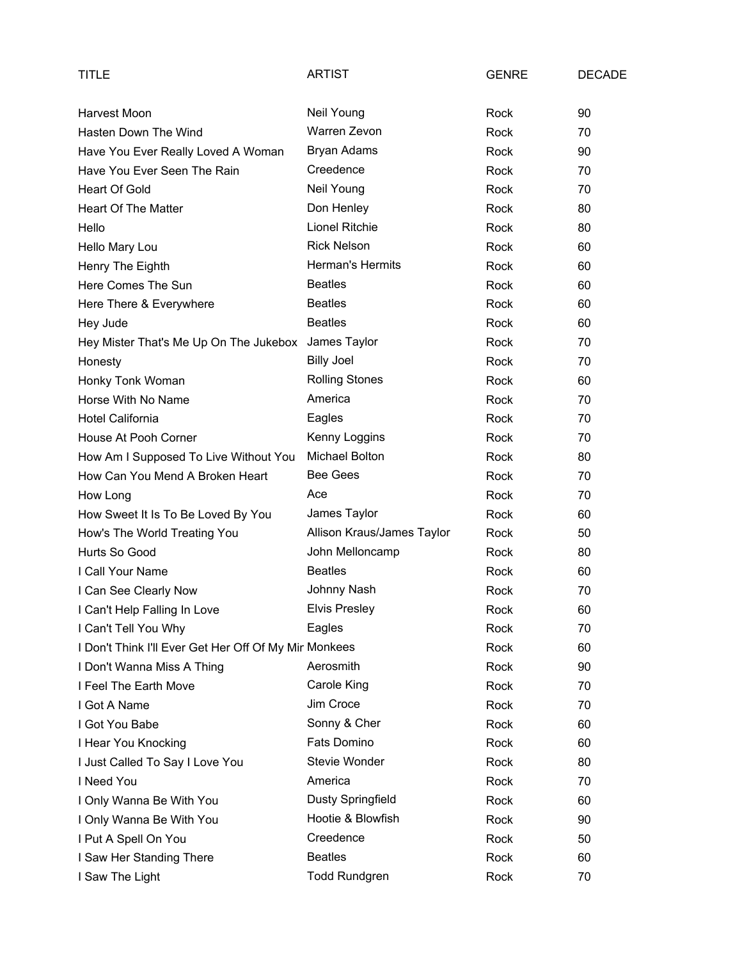| TITLE                                                 | <b>ARTIST</b>              | <b>GENRE</b> | <b>DECADE</b> |
|-------------------------------------------------------|----------------------------|--------------|---------------|
| Harvest Moon                                          | Neil Young                 | Rock         | 90            |
| Hasten Down The Wind                                  | Warren Zevon               | Rock         | 70            |
| Have You Ever Really Loved A Woman                    | Bryan Adams                | Rock         | 90            |
| Have You Ever Seen The Rain                           | Creedence                  | Rock         | 70            |
| <b>Heart Of Gold</b>                                  | Neil Young                 | Rock         | 70            |
| Heart Of The Matter                                   | Don Henley                 | Rock         | 80            |
| Hello                                                 | Lionel Ritchie             | Rock         | 80            |
| Hello Mary Lou                                        | <b>Rick Nelson</b>         | Rock         | 60            |
| Henry The Eighth                                      | Herman's Hermits           | Rock         | 60            |
| Here Comes The Sun                                    | <b>Beatles</b>             | Rock         | 60            |
| Here There & Everywhere                               | <b>Beatles</b>             | Rock         | 60            |
| Hey Jude                                              | <b>Beatles</b>             | Rock         | 60            |
| Hey Mister That's Me Up On The Jukebox                | James Taylor               | Rock         | 70            |
| Honesty                                               | <b>Billy Joel</b>          | Rock         | 70            |
| Honky Tonk Woman                                      | <b>Rolling Stones</b>      | Rock         | 60            |
| Horse With No Name                                    | America                    | Rock         | 70            |
| <b>Hotel California</b>                               | Eagles                     | Rock         | 70            |
| House At Pooh Corner                                  | Kenny Loggins              | Rock         | 70            |
| How Am I Supposed To Live Without You                 | <b>Michael Bolton</b>      | Rock         | 80            |
| How Can You Mend A Broken Heart                       | <b>Bee Gees</b>            | Rock         | 70            |
| How Long                                              | Ace                        | Rock         | 70            |
| How Sweet It Is To Be Loved By You                    | James Taylor               | Rock         | 60            |
| How's The World Treating You                          | Allison Kraus/James Taylor | Rock         | 50            |
| Hurts So Good                                         | John Melloncamp            | Rock         | 80            |
| I Call Your Name                                      | <b>Beatles</b>             | Rock         | 60            |
| I Can See Clearly Now                                 | Johnny Nash                | Rock         | 70            |
| I Can't Help Falling In Love                          | <b>Elvis Presley</b>       | Rock         | 60            |
| I Can't Tell You Why                                  | Eagles                     | Rock         | 70            |
| I Don't Think I'll Ever Get Her Off Of My Mir Monkees |                            | Rock         | 60            |
| I Don't Wanna Miss A Thing                            | Aerosmith                  | Rock         | 90            |
| I Feel The Earth Move                                 | Carole King                | Rock         | 70            |
| I Got A Name                                          | Jim Croce                  | Rock         | 70            |
| I Got You Babe                                        | Sonny & Cher               | Rock         | 60            |
| I Hear You Knocking                                   | Fats Domino                | Rock         | 60            |
| I Just Called To Say I Love You                       | Stevie Wonder              | Rock         | 80            |
| I Need You                                            | America                    | Rock         | 70            |
| I Only Wanna Be With You                              | Dusty Springfield          | Rock         | 60            |
| I Only Wanna Be With You                              | Hootie & Blowfish          | Rock         | 90            |
| I Put A Spell On You                                  | Creedence                  | Rock         | 50            |
| I Saw Her Standing There                              | <b>Beatles</b>             | Rock         | 60            |
| I Saw The Light                                       | <b>Todd Rundgren</b>       | Rock         | 70            |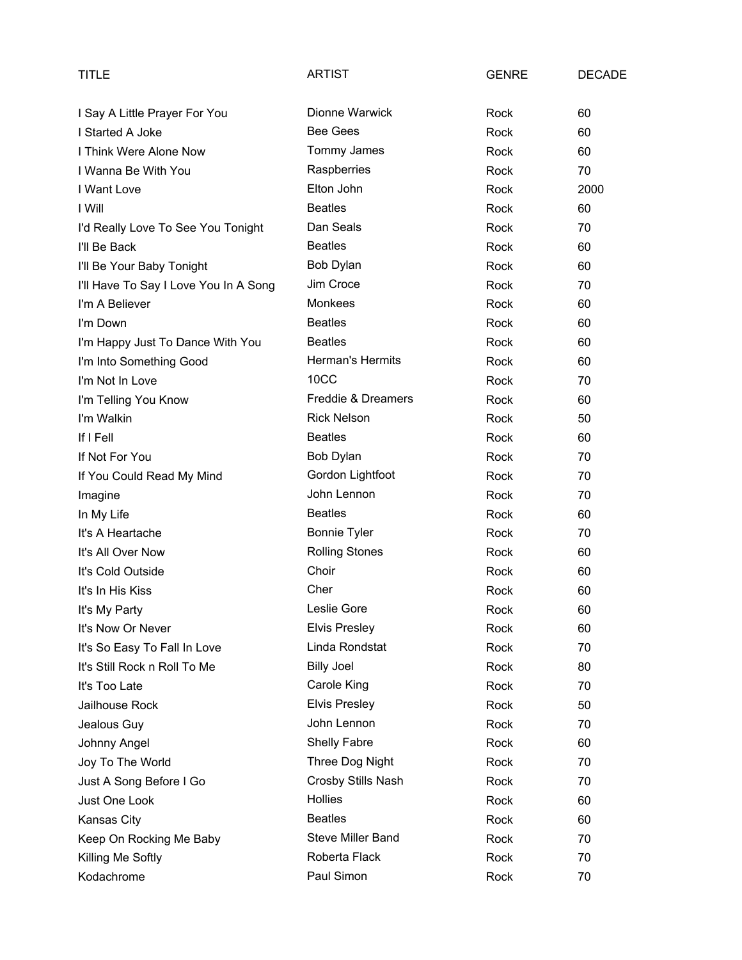| TITLE                                 | <b>ARTIST</b>            | <b>GENRE</b> | <b>DECADE</b> |
|---------------------------------------|--------------------------|--------------|---------------|
| I Say A Little Prayer For You         | Dionne Warwick           | Rock         | 60            |
| I Started A Joke                      | <b>Bee Gees</b>          | Rock         | 60            |
| I Think Were Alone Now                | Tommy James              | Rock         | 60            |
| I Wanna Be With You                   | Raspberries              | Rock         | 70            |
| I Want Love                           | Elton John               | Rock         | 2000          |
| I Will                                | <b>Beatles</b>           | Rock         | 60            |
| I'd Really Love To See You Tonight    | Dan Seals                | Rock         | 70            |
| I'll Be Back                          | <b>Beatles</b>           | Rock         | 60            |
| I'll Be Your Baby Tonight             | Bob Dylan                | Rock         | 60            |
| I'll Have To Say I Love You In A Song | Jim Croce                | Rock         | 70            |
| I'm A Believer                        | Monkees                  | Rock         | 60            |
| I'm Down                              | <b>Beatles</b>           | Rock         | 60            |
| I'm Happy Just To Dance With You      | <b>Beatles</b>           | Rock         | 60            |
| I'm Into Something Good               | Herman's Hermits         | Rock         | 60            |
| I'm Not In Love                       | 10CC                     | Rock         | 70            |
| I'm Telling You Know                  | Freddie & Dreamers       | Rock         | 60            |
| I'm Walkin                            | <b>Rick Nelson</b>       | Rock         | 50            |
| If I Fell                             | <b>Beatles</b>           | Rock         | 60            |
| If Not For You                        | Bob Dylan                | Rock         | 70            |
| If You Could Read My Mind             | Gordon Lightfoot         | Rock         | 70            |
| Imagine                               | John Lennon              | Rock         | 70            |
| In My Life                            | <b>Beatles</b>           | Rock         | 60            |
| It's A Heartache                      | <b>Bonnie Tyler</b>      | Rock         | 70            |
| It's All Over Now                     | <b>Rolling Stones</b>    | Rock         | 60            |
| It's Cold Outside                     | Choir                    | Rock         | 60            |
| It's In His Kiss                      | Cher                     | Rock         | 60            |
| It's My Party                         | Leslie Gore              | Rock         | 60            |
| It's Now Or Never                     | <b>Elvis Presley</b>     | Rock         | 60            |
| It's So Easy To Fall In Love          | Linda Rondstat           | Rock         | 70            |
| It's Still Rock n Roll To Me          | <b>Billy Joel</b>        | Rock         | 80            |
| It's Too Late                         | Carole King              | Rock         | 70            |
| Jailhouse Rock                        | <b>Elvis Presley</b>     | Rock         | 50            |
| Jealous Guy                           | John Lennon              | Rock         | 70            |
| Johnny Angel                          | Shelly Fabre             | Rock         | 60            |
| Joy To The World                      | Three Dog Night          | Rock         | 70            |
| Just A Song Before I Go               | Crosby Stills Nash       | Rock         | 70            |
| Just One Look                         | Hollies                  | Rock         | 60            |
| Kansas City                           | <b>Beatles</b>           | Rock         | 60            |
| Keep On Rocking Me Baby               | <b>Steve Miller Band</b> | Rock         | 70            |
| Killing Me Softly                     | Roberta Flack            | Rock         | 70            |
| Kodachrome                            | Paul Simon               | Rock         | 70            |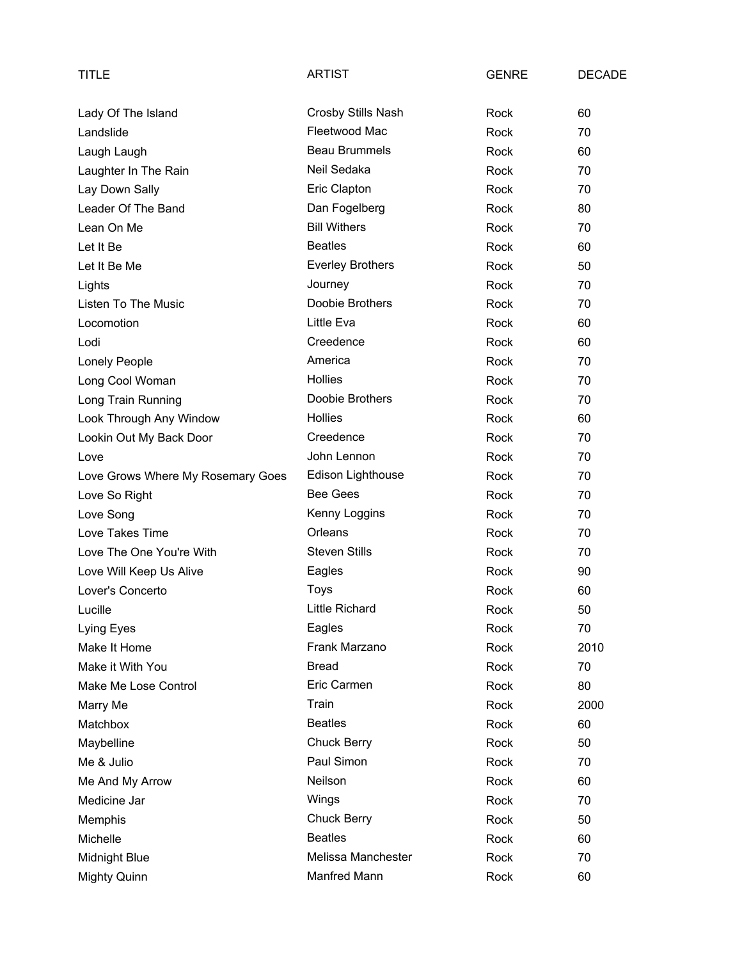| TITLE                             | <b>ARTIST</b>           | <b>GENRE</b> | <b>DECADE</b> |
|-----------------------------------|-------------------------|--------------|---------------|
| Lady Of The Island                | Crosby Stills Nash      | Rock         | 60            |
| Landslide                         | Fleetwood Mac           | Rock         | 70            |
| Laugh Laugh                       | <b>Beau Brummels</b>    | Rock         | 60            |
| Laughter In The Rain              | Neil Sedaka             | Rock         | 70            |
| Lay Down Sally                    | Eric Clapton            | Rock         | 70            |
| Leader Of The Band                | Dan Fogelberg           | Rock         | 80            |
| Lean On Me                        | <b>Bill Withers</b>     | Rock         | 70            |
| Let It Be                         | <b>Beatles</b>          | Rock         | 60            |
| Let It Be Me                      | <b>Everley Brothers</b> | Rock         | 50            |
| Lights                            | Journey                 | Rock         | 70            |
| Listen To The Music               | Doobie Brothers         | Rock         | 70            |
| Locomotion                        | Little Eva              | Rock         | 60            |
| Lodi                              | Creedence               | Rock         | 60            |
| Lonely People                     | America                 | Rock         | 70            |
| Long Cool Woman                   | <b>Hollies</b>          | Rock         | 70            |
| Long Train Running                | Doobie Brothers         | Rock         | 70            |
| Look Through Any Window           | <b>Hollies</b>          | Rock         | 60            |
| Lookin Out My Back Door           | Creedence               | Rock         | 70            |
| Love                              | John Lennon             | Rock         | 70            |
| Love Grows Where My Rosemary Goes | Edison Lighthouse       | Rock         | 70            |
| Love So Right                     | <b>Bee Gees</b>         | Rock         | 70            |
| Love Song                         | Kenny Loggins           | Rock         | 70            |
| Love Takes Time                   | Orleans                 | Rock         | 70            |
| Love The One You're With          | <b>Steven Stills</b>    | Rock         | 70            |
| Love Will Keep Us Alive           | Eagles                  | Rock         | 90            |
| Lover's Concerto                  | Toys                    | Rock         | 60            |
| Lucille                           | Little Richard          | Rock         | 50            |
| Lying Eyes                        | Eagles                  | Rock         | 70            |
| Make It Home                      | Frank Marzano           | Rock         | 2010          |
| Make it With You                  | <b>Bread</b>            | Rock         | 70            |
| Make Me Lose Control              | Eric Carmen             | Rock         | 80            |
| Marry Me                          | Train                   | Rock         | 2000          |
| Matchbox                          | <b>Beatles</b>          | Rock         | 60            |
| Maybelline                        | <b>Chuck Berry</b>      | Rock         | 50            |
| Me & Julio                        | Paul Simon              | Rock         | 70            |
| Me And My Arrow                   | Neilson                 | Rock         | 60            |
| Medicine Jar                      | Wings                   | Rock         | 70            |
| Memphis                           | <b>Chuck Berry</b>      | Rock         | 50            |
| Michelle                          | <b>Beatles</b>          | Rock         | 60            |
| Midnight Blue                     | Melissa Manchester      | Rock         | 70            |
| <b>Mighty Quinn</b>               | Manfred Mann            | Rock         | 60            |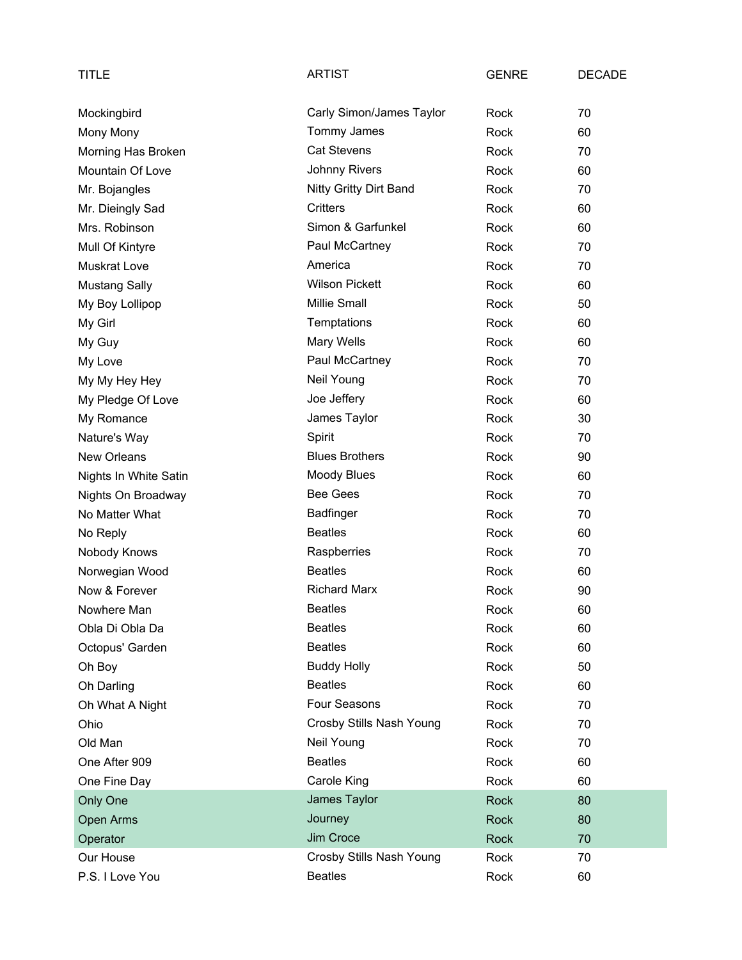| <b>TITLE</b>          | <b>ARTIST</b>            | <b>GENRE</b> | <b>DECADE</b> |
|-----------------------|--------------------------|--------------|---------------|
| Mockingbird           | Carly Simon/James Taylor | Rock         | 70            |
| Mony Mony             | Tommy James              | Rock         | 60            |
| Morning Has Broken    | <b>Cat Stevens</b>       | Rock         | 70            |
| Mountain Of Love      | <b>Johnny Rivers</b>     | Rock         | 60            |
| Mr. Bojangles         | Nitty Gritty Dirt Band   | Rock         | 70            |
| Mr. Dieingly Sad      | <b>Critters</b>          | Rock         | 60            |
| Mrs. Robinson         | Simon & Garfunkel        | Rock         | 60            |
| Mull Of Kintyre       | Paul McCartney           | Rock         | 70            |
| <b>Muskrat Love</b>   | America                  | Rock         | 70            |
| <b>Mustang Sally</b>  | <b>Wilson Pickett</b>    | Rock         | 60            |
| My Boy Lollipop       | <b>Millie Small</b>      | Rock         | 50            |
| My Girl               | Temptations              | Rock         | 60            |
| My Guy                | Mary Wells               | Rock         | 60            |
| My Love               | Paul McCartney           | Rock         | 70            |
| My My Hey Hey         | Neil Young               | Rock         | 70            |
| My Pledge Of Love     | Joe Jeffery              | Rock         | 60            |
| My Romance            | James Taylor             | Rock         | 30            |
| Nature's Way          | Spirit                   | Rock         | 70            |
| <b>New Orleans</b>    | <b>Blues Brothers</b>    | Rock         | 90            |
| Nights In White Satin | <b>Moody Blues</b>       | Rock         | 60            |
| Nights On Broadway    | <b>Bee Gees</b>          | Rock         | 70            |
| No Matter What        | Badfinger                | Rock         | 70            |
| No Reply              | <b>Beatles</b>           | Rock         | 60            |
| Nobody Knows          | Raspberries              | Rock         | 70            |
| Norwegian Wood        | <b>Beatles</b>           | Rock         | 60            |
| Now & Forever         | <b>Richard Marx</b>      | Rock         | 90            |
| Nowhere Man           | <b>Beatles</b>           | Rock         | 60            |
| Obla Di Obla Da       | <b>Beatles</b>           | Rock         | 60            |
| Octopus' Garden       | <b>Beatles</b>           | Rock         | 60            |
| Oh Boy                | <b>Buddy Holly</b>       | Rock         | 50            |
| Oh Darling            | <b>Beatles</b>           | Rock         | 60            |
| Oh What A Night       | Four Seasons             | Rock         | 70            |
| Ohio                  | Crosby Stills Nash Young | Rock         | 70            |
| Old Man               | Neil Young               | Rock         | 70            |
| One After 909         | <b>Beatles</b>           | Rock         | 60            |
| One Fine Day          | Carole King              | Rock         | 60            |
| Only One              | James Taylor             | Rock         | 80            |
| Open Arms             | Journey                  | Rock         | 80            |
| Operator              | Jim Croce                | Rock         | 70            |
| Our House             | Crosby Stills Nash Young | Rock         | 70            |
| P.S. I Love You       | <b>Beatles</b>           | Rock         | 60            |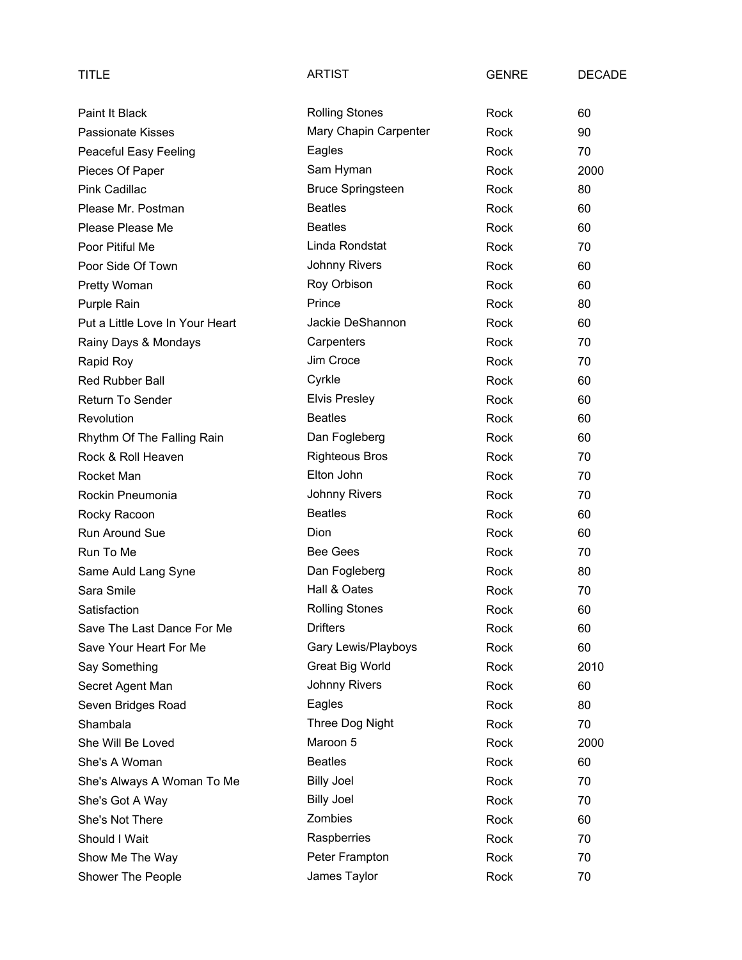| TITLE                           | <b>ARTIST</b>            | <b>GENRE</b> | <b>DECADE</b> |
|---------------------------------|--------------------------|--------------|---------------|
| Paint It Black                  | <b>Rolling Stones</b>    | Rock         | 60            |
| <b>Passionate Kisses</b>        | Mary Chapin Carpenter    | Rock         | 90            |
| Peaceful Easy Feeling           | Eagles                   | Rock         | 70            |
| Pieces Of Paper                 | Sam Hyman                | Rock         | 2000          |
| Pink Cadillac                   | <b>Bruce Springsteen</b> | Rock         | 80            |
| Please Mr. Postman              | <b>Beatles</b>           | Rock         | 60            |
| Please Please Me                | <b>Beatles</b>           | Rock         | 60            |
| Poor Pitiful Me                 | Linda Rondstat           | Rock         | 70            |
| Poor Side Of Town               | <b>Johnny Rivers</b>     | Rock         | 60            |
| Pretty Woman                    | Roy Orbison              | Rock         | 60            |
| Purple Rain                     | Prince                   | Rock         | 80            |
| Put a Little Love In Your Heart | Jackie DeShannon         | Rock         | 60            |
| Rainy Days & Mondays            | Carpenters               | Rock         | 70            |
| Rapid Roy                       | Jim Croce                | Rock         | 70            |
| Red Rubber Ball                 | Cyrkle                   | Rock         | 60            |
| <b>Return To Sender</b>         | <b>Elvis Presley</b>     | Rock         | 60            |
| Revolution                      | <b>Beatles</b>           | Rock         | 60            |
| Rhythm Of The Falling Rain      | Dan Fogleberg            | Rock         | 60            |
| Rock & Roll Heaven              | <b>Righteous Bros</b>    | Rock         | 70            |
| Rocket Man                      | Elton John               | Rock         | 70            |
| Rockin Pneumonia                | <b>Johnny Rivers</b>     | Rock         | 70            |
| Rocky Racoon                    | <b>Beatles</b>           | Rock         | 60            |
| Run Around Sue                  | Dion                     | Rock         | 60            |
| Run To Me                       | <b>Bee Gees</b>          | Rock         | 70            |
| Same Auld Lang Syne             | Dan Fogleberg            | Rock         | 80            |
| Sara Smile                      | Hall & Oates             | Rock         | 70            |
| Satisfaction                    | <b>Rolling Stones</b>    | Rock         | 60            |
| Save The Last Dance For Me      | <b>Drifters</b>          | Rock         | 60            |
| Save Your Heart For Me          | Gary Lewis/Playboys      | Rock         | 60            |
| Say Something                   | <b>Great Big World</b>   | Rock         | 2010          |
| Secret Agent Man                | <b>Johnny Rivers</b>     | Rock         | 60            |
| Seven Bridges Road              | Eagles                   | Rock         | 80            |
| Shambala                        | Three Dog Night          | Rock         | 70            |
| She Will Be Loved               | Maroon 5                 | Rock         | 2000          |
| She's A Woman                   | <b>Beatles</b>           | Rock         | 60            |
| She's Always A Woman To Me      | <b>Billy Joel</b>        | Rock         | 70            |
| She's Got A Way                 | <b>Billy Joel</b>        | Rock         | 70            |
| She's Not There                 | Zombies                  | Rock         | 60            |
| Should I Wait                   | Raspberries              | Rock         | 70            |
| Show Me The Way                 | Peter Frampton           | Rock         | 70            |
| Shower The People               | James Taylor             | Rock         | 70            |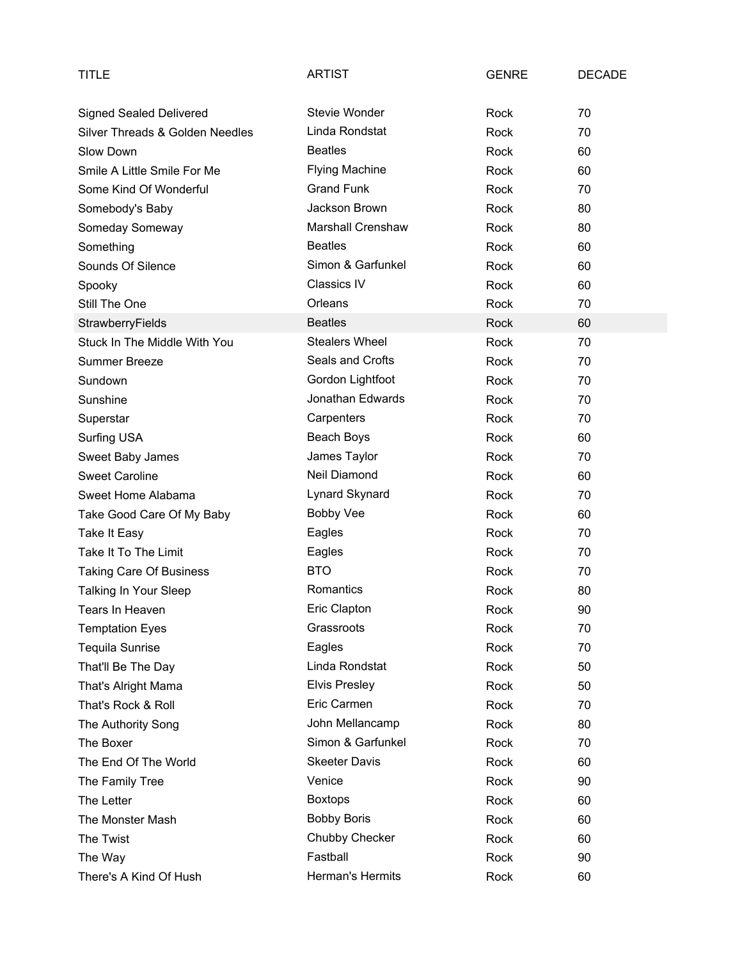| <b>TITLE</b>                    | <b>ARTIST</b>         | <b>GENRE</b> | <b>DECADE</b> |
|---------------------------------|-----------------------|--------------|---------------|
| <b>Signed Sealed Delivered</b>  | Stevie Wonder         | Rock         | 70            |
| Silver Threads & Golden Needles | Linda Rondstat        | Rock         | 70            |
| Slow Down                       | <b>Beatles</b>        | Rock         | 60            |
| Smile A Little Smile For Me     | <b>Flying Machine</b> | Rock         | 60            |
| Some Kind Of Wonderful          | <b>Grand Funk</b>     | Rock         | 70            |
| Somebody's Baby                 | Jackson Brown         | Rock         | 80            |
| Someday Someway                 | Marshall Crenshaw     | Rock         | 80            |
| Something                       | <b>Beatles</b>        | Rock         | 60            |
| Sounds Of Silence               | Simon & Garfunkel     | Rock         | 60            |
| Spooky                          | <b>Classics IV</b>    | Rock         | 60            |
| Still The One                   | Orleans               | Rock         | 70            |
| StrawberryFields                | <b>Beatles</b>        | <b>Rock</b>  | 60            |
| Stuck In The Middle With You    | <b>Stealers Wheel</b> | Rock         | 70            |
| <b>Summer Breeze</b>            | Seals and Crofts      | Rock         | 70            |
| Sundown                         | Gordon Lightfoot      | Rock         | 70            |
| Sunshine                        | Jonathan Edwards      | Rock         | 70            |
| Superstar                       | Carpenters            | Rock         | 70            |
| Surfing USA                     | Beach Boys            | Rock         | 60            |
| Sweet Baby James                | James Taylor          | Rock         | 70            |
| <b>Sweet Caroline</b>           | Neil Diamond          | Rock         | 60            |
| Sweet Home Alabama              | Lynard Skynard        | Rock         | 70            |
| Take Good Care Of My Baby       | <b>Bobby Vee</b>      | Rock         | 60            |
| Take It Easy                    | Eagles                | Rock         | 70            |
| Take It To The Limit            | Eagles                | Rock         | 70            |
| Taking Care Of Business         | <b>BTO</b>            | Rock         | 70            |
| Talking In Your Sleep           | Romantics             | Rock         | 80            |
| Tears In Heaven                 | Eric Clapton          | Rock         | 90            |
| <b>Temptation Eyes</b>          | Grassroots            | Rock         | 70            |
| <b>Tequila Sunrise</b>          | Eagles                | Rock         | 70            |
| That'll Be The Day              | Linda Rondstat        | Rock         | 50            |
| That's Alright Mama             | <b>Elvis Presley</b>  | Rock         | 50            |
| That's Rock & Roll              | Eric Carmen           | Rock         | 70            |
| The Authority Song              | John Mellancamp       | Rock         | 80            |
| The Boxer                       | Simon & Garfunkel     | Rock         | 70            |
| The End Of The World            | <b>Skeeter Davis</b>  | Rock         | 60            |
| The Family Tree                 | Venice                | Rock         | 90            |
| The Letter                      | <b>Boxtops</b>        | Rock         | 60            |
| The Monster Mash                | <b>Bobby Boris</b>    | Rock         | 60            |
| The Twist                       | Chubby Checker        | Rock         | 60            |
| The Way                         | Fastball              | Rock         | 90            |
| There's A Kind Of Hush          | Herman's Hermits      | Rock         | 60            |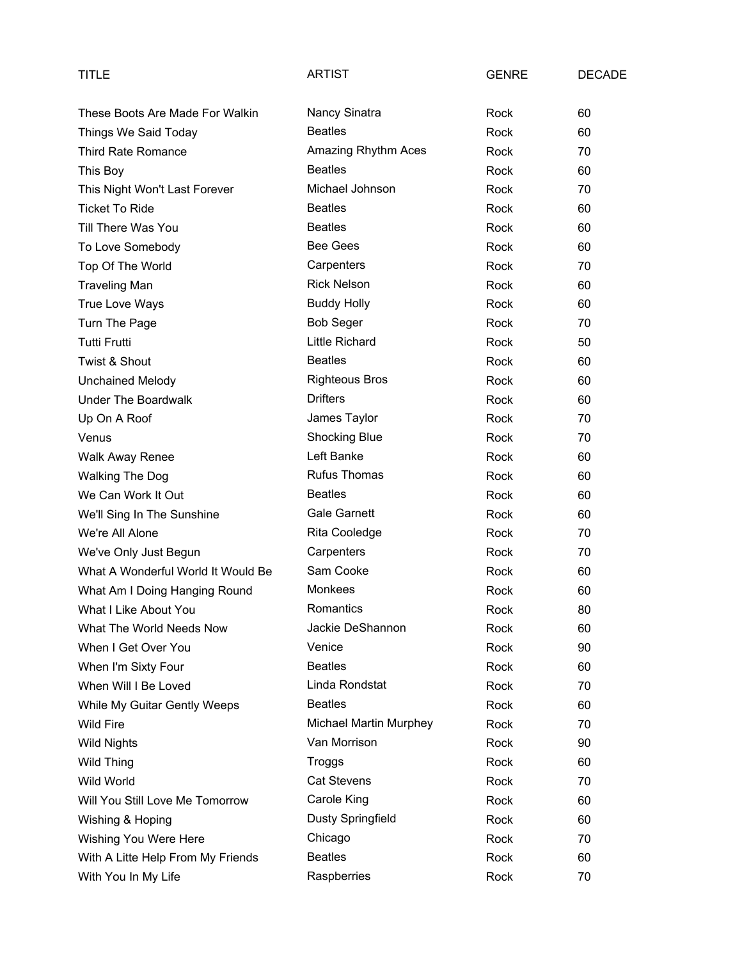| TITLE                              | ARTIST                   | <b>GENRE</b> | <b>DECADE</b> |
|------------------------------------|--------------------------|--------------|---------------|
| These Boots Are Made For Walkin    | Nancy Sinatra            | Rock         | 60            |
| Things We Said Today               | <b>Beatles</b>           | Rock         | 60            |
| <b>Third Rate Romance</b>          | Amazing Rhythm Aces      | Rock         | 70            |
| This Boy                           | <b>Beatles</b>           | Rock         | 60            |
| This Night Won't Last Forever      | Michael Johnson          | Rock         | 70            |
| <b>Ticket To Ride</b>              | <b>Beatles</b>           | Rock         | 60            |
| Till There Was You                 | <b>Beatles</b>           | Rock         | 60            |
| To Love Somebody                   | Bee Gees                 | Rock         | 60            |
| Top Of The World                   | Carpenters               | Rock         | 70            |
| <b>Traveling Man</b>               | <b>Rick Nelson</b>       | Rock         | 60            |
| True Love Ways                     | <b>Buddy Holly</b>       | Rock         | 60            |
| Turn The Page                      | <b>Bob Seger</b>         | Rock         | 70            |
| <b>Tutti Frutti</b>                | <b>Little Richard</b>    | Rock         | 50            |
| Twist & Shout                      | <b>Beatles</b>           | Rock         | 60            |
| <b>Unchained Melody</b>            | <b>Righteous Bros</b>    | Rock         | 60            |
| <b>Under The Boardwalk</b>         | <b>Drifters</b>          | Rock         | 60            |
| Up On A Roof                       | James Taylor             | Rock         | 70            |
| Venus                              | Shocking Blue            | Rock         | 70            |
| <b>Walk Away Renee</b>             | Left Banke               | Rock         | 60            |
| <b>Walking The Dog</b>             | <b>Rufus Thomas</b>      | Rock         | 60            |
| We Can Work It Out                 | <b>Beatles</b>           | Rock         | 60            |
| We'll Sing In The Sunshine         | <b>Gale Garnett</b>      | Rock         | 60            |
| We're All Alone                    | Rita Cooledge            | Rock         | 70            |
| We've Only Just Begun              | Carpenters               | Rock         | 70            |
| What A Wonderful World It Would Be | Sam Cooke                | Rock         | 60            |
| What Am I Doing Hanging Round      | Monkees                  | Rock         | 60            |
| What I Like About You              | Romantics                | Rock         | 80            |
| What The World Needs Now           | Jackie DeShannon         | Rock         | 60            |
| When I Get Over You                | Venice                   | Rock         | 90            |
| When I'm Sixty Four                | <b>Beatles</b>           | Rock         | 60            |
| When Will I Be Loved               | Linda Rondstat           | Rock         | 70            |
| While My Guitar Gently Weeps       | <b>Beatles</b>           | Rock         | 60            |
| <b>Wild Fire</b>                   | Michael Martin Murphey   | Rock         | 70            |
| <b>Wild Nights</b>                 | Van Morrison             | Rock         | 90            |
| Wild Thing                         | Troggs                   | Rock         | 60            |
| Wild World                         | <b>Cat Stevens</b>       | Rock         | 70            |
| Will You Still Love Me Tomorrow    | Carole King              | Rock         | 60            |
| Wishing & Hoping                   | <b>Dusty Springfield</b> | Rock         | 60            |
| Wishing You Were Here              | Chicago                  | Rock         | 70            |
| With A Litte Help From My Friends  | <b>Beatles</b>           | Rock         | 60            |
| With You In My Life                | Raspberries              | Rock         | 70            |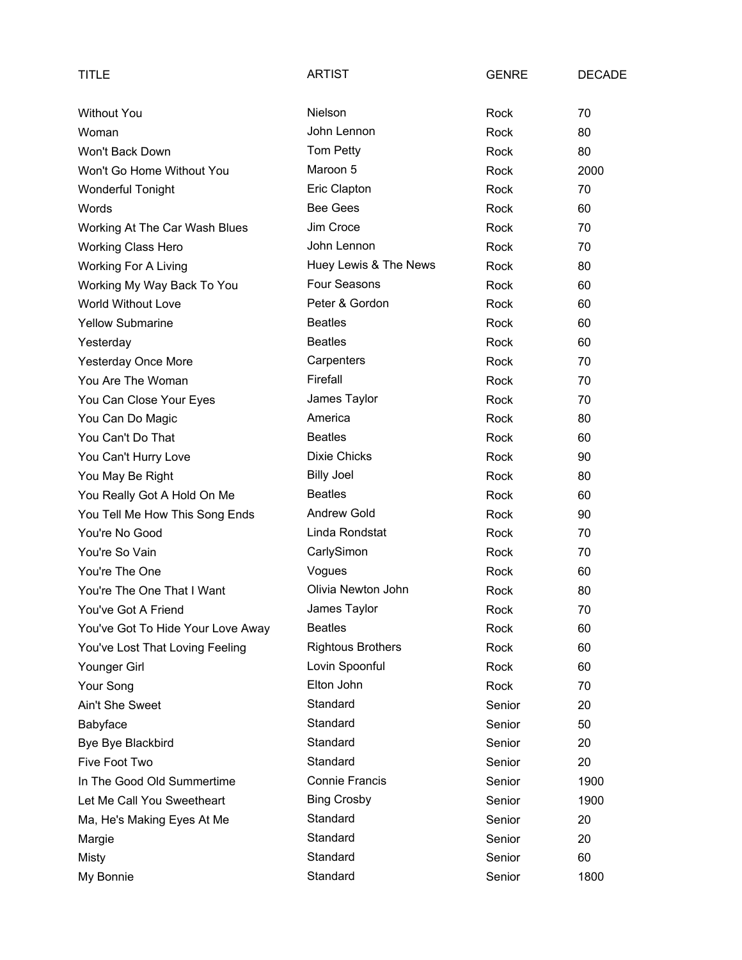| TITLE                             | <b>ARTIST</b>            | <b>GENRE</b> | <b>DECADE</b> |
|-----------------------------------|--------------------------|--------------|---------------|
| <b>Without You</b>                | Nielson                  | Rock         | 70            |
| Woman                             | John Lennon              | Rock         | 80            |
| Won't Back Down                   | Tom Petty                | Rock         | 80            |
| Won't Go Home Without You         | Maroon 5                 | Rock         | 2000          |
| <b>Wonderful Tonight</b>          | Eric Clapton             | Rock         | 70            |
| Words                             | <b>Bee Gees</b>          | Rock         | 60            |
| Working At The Car Wash Blues     | Jim Croce                | Rock         | 70            |
| <b>Working Class Hero</b>         | John Lennon              | Rock         | 70            |
| <b>Working For A Living</b>       | Huey Lewis & The News    | Rock         | 80            |
| Working My Way Back To You        | Four Seasons             | Rock         | 60            |
| World Without Love                | Peter & Gordon           | Rock         | 60            |
| <b>Yellow Submarine</b>           | <b>Beatles</b>           | Rock         | 60            |
| Yesterday                         | <b>Beatles</b>           | Rock         | 60            |
| <b>Yesterday Once More</b>        | Carpenters               | Rock         | 70            |
| You Are The Woman                 | Firefall                 | Rock         | 70            |
| You Can Close Your Eyes           | James Taylor             | Rock         | 70            |
| You Can Do Magic                  | America                  | Rock         | 80            |
| You Can't Do That                 | <b>Beatles</b>           | Rock         | 60            |
| You Can't Hurry Love              | <b>Dixie Chicks</b>      | Rock         | 90            |
| You May Be Right                  | <b>Billy Joel</b>        | Rock         | 80            |
| You Really Got A Hold On Me       | <b>Beatles</b>           | Rock         | 60            |
| You Tell Me How This Song Ends    | <b>Andrew Gold</b>       | Rock         | 90            |
| You're No Good                    | Linda Rondstat           | Rock         | 70            |
| You're So Vain                    | CarlySimon               | Rock         | 70            |
| You're The One                    | Vogues                   | Rock         | 60            |
| You're The One That I Want        | Olivia Newton John       | Rock         | 80            |
| You've Got A Friend               | James Taylor             | Rock         | 70            |
| You've Got To Hide Your Love Away | <b>Beatles</b>           | Rock         | 60            |
| You've Lost That Loving Feeling   | <b>Rightous Brothers</b> | Rock         | 60            |
| Younger Girl                      | Lovin Spoonful           | Rock         | 60            |
| Your Song                         | Elton John               | Rock         | 70            |
| Ain't She Sweet                   | Standard                 | Senior       | 20            |
| Babyface                          | Standard                 | Senior       | 50            |
| Bye Bye Blackbird                 | Standard                 | Senior       | 20            |
| Five Foot Two                     | Standard                 | Senior       | 20            |
| In The Good Old Summertime        | <b>Connie Francis</b>    | Senior       | 1900          |
| Let Me Call You Sweetheart        | <b>Bing Crosby</b>       | Senior       | 1900          |
| Ma, He's Making Eyes At Me        | Standard                 | Senior       | 20            |
| Margie                            | Standard                 | Senior       | 20            |
| Misty                             | Standard                 | Senior       | 60            |
| My Bonnie                         | Standard                 | Senior       | 1800          |